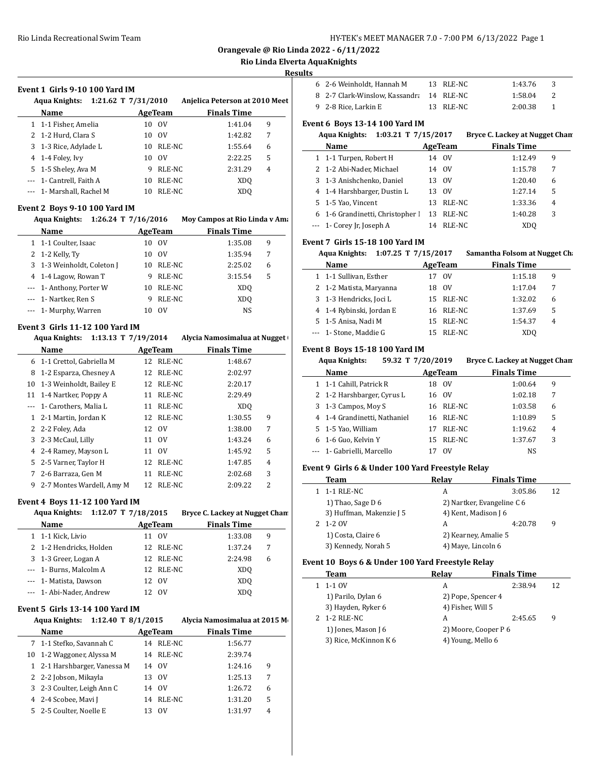**Orangevale @ Rio Linda 2022 - 6/11/2022**

# **Rio Linda Elverta AquaKnights**

#### **Results**

 $\overline{a}$ 

 $\sim$ 

| Event 1 Girls 9-10 100 Yard IM |                     |         |                                |   |  |  |  |
|--------------------------------|---------------------|---------|--------------------------------|---|--|--|--|
| Aqua Knights:                  | 1:21.62 T 7/31/2010 |         | Anjelica Peterson at 2010 Meet |   |  |  |  |
| Name                           |                     | AgeTeam | <b>Finals Time</b>             |   |  |  |  |
| 1 1-1 Fisher, Amelia           | 10                  | - OV    | 1:41.04                        | 9 |  |  |  |
| 2 1-2 Hurd, Clara S            | 10                  | - OV    | 1:42.82                        | 7 |  |  |  |
| 3 1-3 Rice, Adylade L          | 10                  | RLE-NC  | 1:55.64                        | 6 |  |  |  |
| 4 1-4 Foley, Ivy               | 10                  | 0V      | 2:22.25                        | 5 |  |  |  |
| 5 1-5 Sheley, Ava M            |                     | RLE-NC  | 2:31.29                        | 4 |  |  |  |

--- 1- Cantrell, Faith A 10 RLE-NC XDQ --- 1- Marshall, Rachel M 10 RLE-NC XDQ

#### **Event 2 Boys 9-10 100 Yard IM**

| <b>Aqua Knights:</b> |                            | 1:26.24 T 7/16/2016 |        | Moy Campos at Rio Linda v Am. |   |
|----------------------|----------------------------|---------------------|--------|-------------------------------|---|
|                      | Name                       | AgeTeam             |        | <b>Finals Time</b>            |   |
|                      | 1 1-1 Coulter, Isaac       | 10                  | - OV   | 1:35.08                       | 9 |
|                      | 2 1-2 Kelly, Ty            | 10                  | - OV   | 1:35.94                       | 7 |
|                      | 3 1-3 Weinholdt, Coleton J | 10                  | RLE-NC | 2:25.02                       | 6 |
|                      | 4 1-4 Lagow, Rowan T       | 9                   | RLE-NC | 3:15.54                       | 5 |
|                      | --- 1- Anthony, Porter W   | 10                  | RLE-NC | XDO                           |   |
|                      | --- 1- Nartker, Ren S      | 9                   | RLE-NC | XDO                           |   |
|                      | --- 1- Murphy, Warren      |                     | OV     | <b>NS</b>                     |   |

#### **Event 3 Girls 11-12 100 Yard IM**

|    | 1:13.13 T $7/19/2014$<br>Aqua Knights: |         |        | Alycia Namosimalua at Nugget |                |
|----|----------------------------------------|---------|--------|------------------------------|----------------|
|    | Name                                   | AgeTeam |        | <b>Finals Time</b>           |                |
| 6  | 1-1 Crettol, Gabriella M               | 12      | RLE-NC | 1:48.67                      |                |
| 8  | 1-2 Esparza, Chesney A                 | 12      | RLE-NC | 2:02.97                      |                |
| 10 | 1-3 Weinholdt, Bailey E                | 12      | RLE-NC | 2:20.17                      |                |
| 11 | 1-4 Nartker, Poppy A                   | 11      | RLE-NC | 2:29.49                      |                |
|    | 1- Carothers, Malia L                  | 11      | RLE-NC | XD <sub>O</sub>              |                |
| 1  | 2-1 Martin, Jordan K                   | 12      | RLE-NC | 1:30.55                      | 9              |
|    | 2 2-2 Foley, Ada                       |         | 12 OV  | 1:38.00                      | 7              |
| 3  | 2-3 McCaul, Lilly                      | 11      | 0V     | 1:43.24                      | 6              |
| 4  | 2-4 Ramey, Mayson L                    | 11      | 0V     | 1:45.92                      | 5              |
| 5. | 2-5 Varner, Taylor H                   | 12      | RLE-NC | 1:47.85                      | 4              |
| 7  | 2-6 Barraza, Gen M                     | 11      | RLE-NC | 2:02.68                      | 3              |
| 9  | 2-7 Montes Wardell, Amy M              | 12      | RLE-NC | 2:09.22                      | $\overline{2}$ |

#### **Event 4 Boys 11-12 100 Yard IM**

| Aqua Knights:            | 1:12.07 T 7/18/2015 |           | Bryce C. Lackey at Nugget Chan |   |
|--------------------------|---------------------|-----------|--------------------------------|---|
| Name                     |                     | AgeTeam   | <b>Finals Time</b>             |   |
| 1 1-1 Kick, Livio        | 11                  | 0V        | 1:33.08                        | 9 |
| 2 1-2 Hendricks, Holden  |                     | 12 RLE-NC | 1:37.24                        | 7 |
| 3 1-3 Greer, Logan A     |                     | 12 RLE-NC | 2:24.98                        | 6 |
| --- 1- Burns, Malcolm A  |                     | 12 RLE-NC | XD <sub>0</sub>                |   |
| --- 1- Matista, Dawson   | 12                  | - OV      | XD <sub>0</sub>                |   |
| --- 1- Abi-Nader, Andrew | 12.                 | - OV      | XD <sub>0</sub>                |   |
|                          |                     |           |                                |   |

# **Event 5 Girls 13-14 100 Yard IM**

| Aqua Knights: 1:12.40 T 8/1/2015 |                              |              | Alycia Namosimalua at 2015 M |  |
|----------------------------------|------------------------------|--------------|------------------------------|--|
|                                  | Name                         | AgeTeam      | <b>Finals Time</b>           |  |
|                                  | 7 1-1 Stefko, Savannah C     | 14 RLE-NC    | 1:56.77                      |  |
|                                  | 10 1-2 Waggoner, Alyssa M    | RLE-NC<br>14 | 2:39.74                      |  |
|                                  | 1 2-1 Harshbarger, Vanessa M | 14 OV        | 1:24.16<br>9                 |  |
|                                  | 2 2-2 Jobson, Mikayla        | 0V<br>13     | 7<br>1:25.13                 |  |
|                                  | 3 2-3 Coulter, Leigh Ann C   | - OV<br>14   | 6<br>1:26.72                 |  |
|                                  | 4 2-4 Scobee, Mavi J         | RLE-NC<br>14 | 5<br>1:31.20                 |  |
|                                  | 5 2-5 Coulter, Noelle E      | 0V<br>13     | 1:31.97<br>4                 |  |

| 6 2-6 Weinholdt. Hannah M                | 13 RLE-NC | 1:43.76 |  |
|------------------------------------------|-----------|---------|--|
| 8 2-7 Clark-Winslow, Kassandra 14 RLE-NC |           | 1:58.04 |  |
| 9 2-8 Rice. Larkin E                     | 13 RLE-NC | 2:00.38 |  |

### **Event 6 Boys 13-14 100 Yard IM**

# **Aqua Knights: 1:03.21 T 7/15/2017 Bryce C. Lackey at Nugget Cham**

| Name                             |     | AgeTeam     | <b>Finals Time</b> |                |  |
|----------------------------------|-----|-------------|--------------------|----------------|--|
| 1 1-1 Turpen, Robert H           | 14  | 0V          | 1:12.49            | 9              |  |
| 2 1-2 Abi-Nader, Michael         | 14  | 0V          | 1:15.78            | 7              |  |
| 3 1-3 Anishchenko, Daniel        | 13  | $_{\rm OV}$ | 1:20.40            | 6              |  |
| 4 1-4 Harshbarger, Dustin L      | 13  | $_{\rm OV}$ | 1:27.14            | 5              |  |
| 5 1-5 Yao, Vincent               | 13. | RLE-NC      | 1:33.36            | $\overline{4}$ |  |
| 6 1-6 Grandinetti, Christopher I | 13  | RLE-NC      | 1:40.28            | 3              |  |
| $-$ 1 - Corey Jr, Joseph A       | 14  | RLE-NC      | XDO                |                |  |

#### **Event 7 Girls 15-18 100 Yard IM**

| Aqua Knights: 1:07.25 T 7/15/2017 |                          |                   | Samantha Folsom at Nugget Cha |   |
|-----------------------------------|--------------------------|-------------------|-------------------------------|---|
|                                   | Name                     | AgeTeam           | <b>Finals Time</b>            |   |
|                                   | 1 1-1 Sullivan, Esther   | $_{\rm OV}$<br>17 | 1:15.18                       | 9 |
|                                   | 2 1-2 Matista, Maryanna  | $_{\rm OV}$<br>18 | 1:17.04                       | 7 |
|                                   | 3 1-3 Hendricks, Joci L  | 15 RLE-NC         | 1:32.02                       | 6 |
|                                   | 4 1-4 Rybinski, Jordan E | 16 RLE-NC         | 1:37.69                       | 5 |
|                                   | 5 1-5 Anisa, Nadi M      | 15 RLE-NC         | 1:54.37                       | 4 |
|                                   | --- 1- Stone, Maddie G   | RLE-NC<br>15.     | XD <sub>0</sub>               |   |

# **Event 8 Boys 15-18 100 Yard IM**

|   | 59.32 T 7/20/2019<br><b>Aqua Knights:</b> |    |             | Bryce C. Lackey at Nugget Chan |                |
|---|-------------------------------------------|----|-------------|--------------------------------|----------------|
|   | Name                                      |    | AgeTeam     | <b>Finals Time</b>             |                |
|   | 1 1-1 Cahill, Patrick R                   | 18 | - OV        | 1:00.64                        | 9              |
|   | 2 1-2 Harshbarger, Cyrus L                |    | 16 OV       | 1:02.18                        | 7              |
|   | 3 1-3 Campos, Moy S                       | 16 | RLE-NC      | 1:03.58                        | 6              |
|   | 4 1-4 Grandinetti, Nathaniel              |    | 16 RLE-NC   | 1:10.89                        | 5              |
|   | 5 1-5 Yao, William                        | 17 | RLE-NC      | 1:19.62                        | $\overline{4}$ |
| 6 | 1-6 Guo, Kelvin Y                         |    | 15 RLE-NC   | 1:37.67                        | 3              |
|   | --- 1- Gabrielli, Marcello                |    | $_{\rm OV}$ | NS.                            |                |

# **Event 9 Girls 6 & Under 100 Yard Freestyle Relay**

| Team                     | Relay | <b>Finals Time</b>         |    |
|--------------------------|-------|----------------------------|----|
| 1-1 RLE-NC               | А     | 3:05.86                    | 12 |
| 1) Thao, Sage $D_6$      |       | 2) Nartker, Evangeline C 6 |    |
| 3) Huffman, Makenzie J 5 |       | 4) Kent, Madison J 6       |    |
| 1-2 OV                   | А     | 4:20.78                    | 9  |
| 1) Costa, Claire 6       |       | 2) Kearney, Amalie 5       |    |
| 3) Kennedy, Norah 5      |       | 4) Maye, Lincoln 6         |    |

#### **Event 10 Boys 6 & Under 100 Yard Freestyle Relay**

| Team                  | Relay                | <b>Finals Time</b> |    |
|-----------------------|----------------------|--------------------|----|
| 1-1 OV                | А                    | 2:38.94            | 12 |
| 1) Parilo, Dylan 6    | 2) Pope, Spencer 4   |                    |    |
| 3) Hayden, Ryker 6    | 4) Fisher, Will 5    |                    |    |
| 1-2 RLE-NC            | А                    | 2:45.65            | 9  |
| 1) Jones, Mason J 6   | 2) Moore, Cooper P 6 |                    |    |
| 3) Rice, McKinnon K 6 | 4) Young, Mello 6    |                    |    |
|                       |                      |                    |    |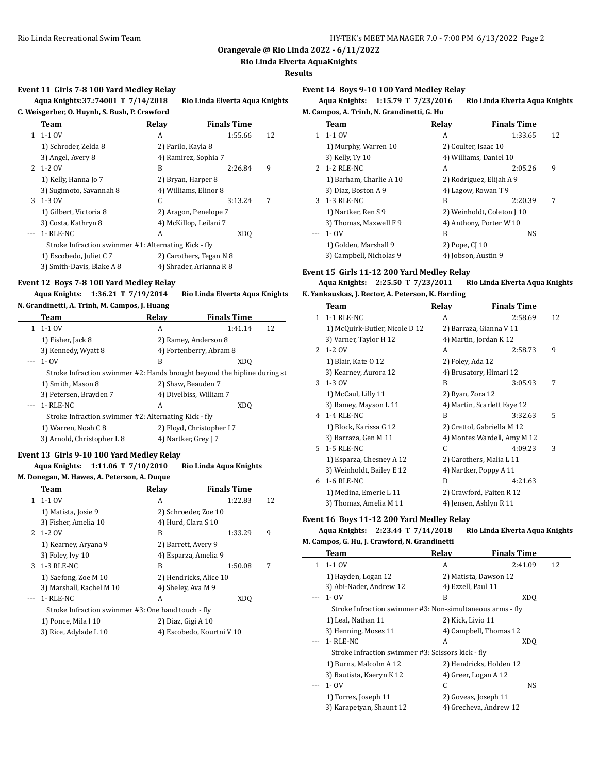**Orangevale @ Rio Linda 2022 - 6/11/2022**

#### **Rio Linda Elverta AquaKnights**

#### **Results**

# **Event 11 Girls 7-8 100 Yard Medley Relay Aqua Knights:137.:74001 T 7/14/2018 Rio Linda Elverta Aqua Knights C. Weisgerber, O. Huynh, S. Bush, P. Crawford Team Relay Finals Time** 1 1-1 OV A 1:55.66 12 1) Schroder, Zelda 8 2) Parilo, Kayla 8 3) Angel, Avery 8 4) Ramirez, Sophia 7 2 1-2 OV B 2:26.84 9 1) Kelly, Hanna Jo 7 2) Bryan, Harper 8 3) Sugimoto, Savannah 8 4) Williams, Elinor 8 3 1-3 OV C 3:13.24 7 1) Gilbert, Victoria 8 2) Aragon, Penelope 7 3) Costa, Kathryn 8 4) McKillop, Leilani 7 --- 1- RLE-NC A XDQ Stroke Infraction swimmer #1: Alternating Kick - fly 1) Escobedo, Juliet C 7 2) Carothers, Tegan N 8 3) Smith-Davis, Blake A 8 4) Shrader, Arianna R 8

#### **Event 12 Boys 7-8 100 Yard Medley Relay**

**Aqua Knights: 1:36.21 T 7/19/2014 Rio Linda Elverta Aqua Knights**

**N. Grandinetti, A. Trinh, M. Campos, J. Huang**

| Team                                                                     | Relay | <b>Finals Time</b>        |    |   |
|--------------------------------------------------------------------------|-------|---------------------------|----|---|
| 1-1 OV                                                                   | А     | 1:41.14                   | 12 |   |
| 1) Fisher, Jack 8                                                        |       | 2) Ramey, Anderson 8      |    |   |
| 3) Kennedy, Wyatt 8                                                      |       | 4) Fortenberry, Abram 8   |    | 2 |
| $- - 1 - 0V$                                                             | B     | XDO                       |    |   |
| Stroke Infraction swimmer #2: Hands brought beyond the hipline during st |       |                           |    |   |
| 1) Smith, Mason 8                                                        |       | 2) Shaw, Beauden 7        |    | 3 |
| 3) Petersen, Brayden 7                                                   |       | 4) Divelbiss, William 7   |    |   |
| 1- RLE-NC                                                                | А     | XDO                       |    |   |
| Stroke Infraction swimmer #2: Alternating Kick - fly                     |       |                           |    | 4 |
| 1) Warren, Noah C 8                                                      |       | 2) Floyd, Christopher I 7 |    |   |
| 3) Arnold, Christopher L 8                                               |       | 4) Nartker, Grey J 7      |    |   |

## **Event 13 Girls 9-10 100 Yard Medley Relay Aqua Knights: 1:11.06 T 7/10/2010 Rio Linda Aqua Knights**

**M. Donegan, M. Hawes, A. Peterson, A. Duque**

|    | Team                                               | Relay                  | <b>Finals Time</b>        |    |
|----|----------------------------------------------------|------------------------|---------------------------|----|
| 1. | 1-1 OV                                             | А                      | 1:22.83                   | 12 |
|    | 1) Matista, Josie 9                                | 2) Schroeder, Zoe 10   |                           |    |
|    | 3) Fisher, Amelia 10                               | 4) Hurd, Clara S 10    |                           |    |
|    | 2 1-2 OV                                           | B                      | 1:33.29                   | 9  |
|    | 1) Kearney, Aryana 9                               | 2) Barrett, Avery 9    |                           |    |
|    | 3) Foley, Ivy 10                                   | 4) Esparza, Amelia 9   |                           |    |
| 3  | 1-3 RLE-NC                                         | B                      | 1:50.08                   | 7  |
|    | 1) Saefong, Zoe M 10                               | 2) Hendricks, Alice 10 |                           |    |
|    | 3) Marshall, Rachel M 10                           | 4) Sheley, Ava M 9     |                           |    |
|    | 1- RLE-NC                                          | A                      | XD <sub>0</sub>           |    |
|    | Stroke Infraction swimmer #3: One hand touch - fly |                        |                           |    |
|    | 1) Ponce, Mila I 10                                | 2) Diaz, Gigi A 10     |                           |    |
|    | 3) Rice, Adylade L 10                              |                        | 4) Escobedo, Kourtni V 10 |    |

#### **Event 14 Boys 9-10 100 Yard Medley Relay**

**Aqua Knights: 1:15.79 T 7/23/2016 Rio Linda Elverta Aqua Knights M. Campos, A. Trinh, N. Grandinetti, G. Hu**

| M. Campos, A. Trinn, N. Grandinetti, G. Hu |       |                    |  |  |  |
|--------------------------------------------|-------|--------------------|--|--|--|
| Team                                       | Relav | <b>Finals Time</b> |  |  |  |

| 1-1 OV                  | А                          | 1:33.65 | 12 |
|-------------------------|----------------------------|---------|----|
| 1) Murphy, Warren 10    | 2) Coulter, Isaac 10       |         |    |
| 3) Kelly, Ty 10         | 4) Williams, Daniel 10     |         |    |
| 2 1-2 RLE-NC            | А                          | 2:05.26 | 9  |
| 1) Barham, Charlie A 10 | 2) Rodriguez, Elijah A 9   |         |    |
| 3) Diaz, Boston A 9     | 4) Lagow, Rowan T 9        |         |    |
| 3 1-3 RLE-NC            | B                          | 2:20.39 |    |
| 1) Nartker, Ren S 9     | 2) Weinholdt, Coleton J 10 |         |    |
| 3) Thomas, Maxwell F 9  | 4) Anthony, Porter W 10    |         |    |
| $1 - 0V$                | B                          | NS.     |    |
| 1) Golden, Marshall 9   | 2) Pope, CJ 10             |         |    |
| 3) Campbell, Nicholas 9 | 4) Jobson, Austin 9        |         |    |

#### **Event 15 Girls 11-12 200 Yard Medley Relay**

#### **Aqua Knights: 2:25.50 T 7/23/2011 Rio Linda Elverta Aqua Knights K. Yankauskas, J. Rector, A. Peterson, K. Harding**

|               | Team                           | Relay            | <b>Finals Time</b>          |    |
|---------------|--------------------------------|------------------|-----------------------------|----|
| $\mathbf{1}$  | 1-1 RLE-NC                     | А                | 2:58.69                     | 12 |
|               | 1) McQuirk-Butler, Nicole D 12 |                  | 2) Barraza, Gianna V 11     |    |
|               | 3) Varner, Taylor H 12         |                  | 4) Martin, Jordan K 12      |    |
| $\mathcal{P}$ | 1-2 OV                         | A                | 2:58.73                     | 9  |
|               | 1) Blair, Kate 0 12            | 2) Foley, Ada 12 |                             |    |
|               | 3) Kearney, Aurora 12          |                  | 4) Brusatory, Himari 12     |    |
| 3             | 1-3 OV                         | B                | 3:05.93                     | 7  |
|               | 1) McCaul, Lilly 11            | 2) Ryan, Zora 12 |                             |    |
|               | 3) Ramey, Mayson L 11          |                  | 4) Martin, Scarlett Faye 12 |    |
|               | 4 1-4 RLE-NC                   | B                | 3:32.63                     | 5  |
|               | 1) Block, Karissa G 12         |                  | 2) Crettol, Gabriella M 12  |    |
|               | 3) Barraza, Gen M 11           |                  | 4) Montes Wardell, Amy M 12 |    |
| 5.            | 1-5 RLE-NC                     | C                | 4:09.23                     | 3  |
|               | 1) Esparza, Chesney A 12       |                  | 2) Carothers, Malia L 11    |    |
|               | 3) Weinholdt, Bailey E 12      |                  | 4) Nartker, Poppy A 11      |    |
| 6             | 1-6 RLE-NC                     | D                | 4:21.63                     |    |
|               | 1) Medina, Emerie L 11         |                  | 2) Crawford, Paiten R 12    |    |
|               | 3) Thomas, Amelia M 11         |                  | 4) Jensen, Ashlyn R 11      |    |

#### **Event 16 Boys 11-12 200 Yard Medley Relay**

#### **Aqua Knights: 2:23.44 T 7/14/2018 Rio Linda Elverta Aqua Knights M. Campos, G. Hu, J. Crawford, N. Grandinetti**

| . campos, c. na, j. crawioru, n. cramameta |       |                    |                                                                                                                                                                                                                                                                                                                   |  |  |
|--------------------------------------------|-------|--------------------|-------------------------------------------------------------------------------------------------------------------------------------------------------------------------------------------------------------------------------------------------------------------------------------------------------------------|--|--|
| <b>Team</b>                                | Relay | <b>Finals Time</b> |                                                                                                                                                                                                                                                                                                                   |  |  |
| $1-1$ OV                                   | A     | 2:41.09            | 12                                                                                                                                                                                                                                                                                                                |  |  |
| 1) Hayden, Logan 12                        |       |                    |                                                                                                                                                                                                                                                                                                                   |  |  |
| 3) Abi-Nader, Andrew 12                    |       |                    |                                                                                                                                                                                                                                                                                                                   |  |  |
| 1- OV                                      | B     | XDO                |                                                                                                                                                                                                                                                                                                                   |  |  |
|                                            |       |                    |                                                                                                                                                                                                                                                                                                                   |  |  |
| 1) Leal, Nathan 11                         |       |                    |                                                                                                                                                                                                                                                                                                                   |  |  |
| 3) Henning, Moses 11                       |       |                    |                                                                                                                                                                                                                                                                                                                   |  |  |
| 1- RLE-NC                                  | A     | XDO                |                                                                                                                                                                                                                                                                                                                   |  |  |
|                                            |       |                    |                                                                                                                                                                                                                                                                                                                   |  |  |
| 1) Burns, Malcolm A 12                     |       |                    |                                                                                                                                                                                                                                                                                                                   |  |  |
| 3) Bautista, Kaeryn K 12                   |       |                    |                                                                                                                                                                                                                                                                                                                   |  |  |
| 1- OV                                      | C.    | NS                 |                                                                                                                                                                                                                                                                                                                   |  |  |
| 1) Torres, Joseph 11                       |       |                    |                                                                                                                                                                                                                                                                                                                   |  |  |
| 3) Karapetyan, Shaunt 12                   |       |                    |                                                                                                                                                                                                                                                                                                                   |  |  |
|                                            | 1.    |                    | 2) Matista, Dawson 12<br>4) Ezzell, Paul 11<br>Stroke Infraction swimmer #3: Non-simultaneous arms - fly<br>2) Kick, Livio 11<br>4) Campbell, Thomas 12<br>Stroke Infraction swimmer #3: Scissors kick - fly<br>2) Hendricks, Holden 12<br>4) Greer, Logan A 12<br>2) Goveas, Joseph 11<br>4) Grecheva, Andrew 12 |  |  |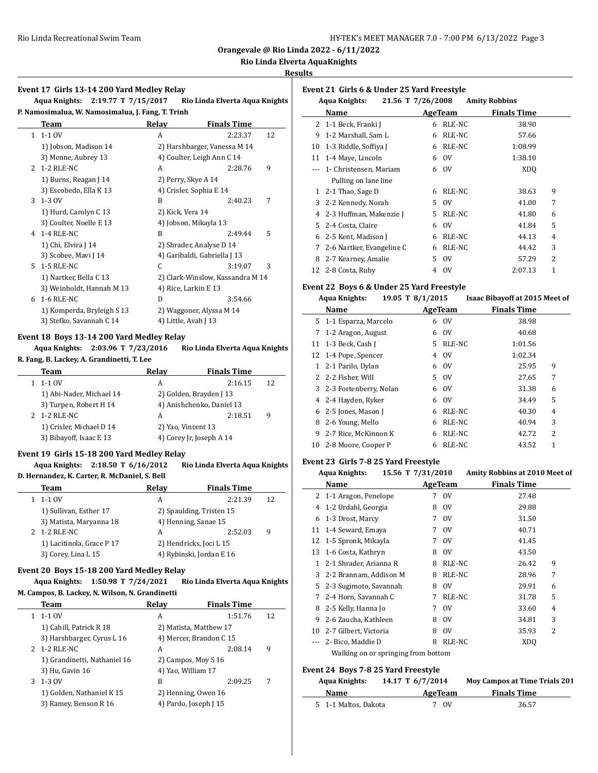**Orangevale @ Rio Linda 2022 - 6/11/2022**

#### **Rio Linda Elverta AquaKnights**

#### **Results**

| Event 17  Girls 13-14 200 Yard Medley Relay |  |  |  |
|---------------------------------------------|--|--|--|
|                                             |  |  |  |

**Aqua Knights: 2:19.77 T 7/15/2017 Rio Linda Elverta Aqua Knights P. Namosimalua, W. Namosimalua, J. Fang, T. Trinh**

|               | Team                       | Relay                | <b>Finals Time</b>               |    |
|---------------|----------------------------|----------------------|----------------------------------|----|
| $\mathbf{1}$  | $1-1$ OV                   | A                    | 2:23.37                          | 12 |
|               | 1) Jobson, Madison 14      |                      | 2) Harshbarger, Vanessa M 14     |    |
|               | 3) Menne, Aubrey 13        |                      | 4) Coulter, Leigh Ann C 14       |    |
| $\mathcal{L}$ | 1-2 RLE-NC                 | A                    | 2:28.76                          | 9  |
|               | 1) Burns, Reagan J 14      | 2) Perry, Skye A 14  |                                  |    |
|               | 3) Escobedo, Ella K 13     |                      | 4) Crisler, Sophia E 14          |    |
| 3             | 1-3 OV                     | B                    | 2:40.23                          | 7  |
|               | 1) Hurd, Carolyn C 13      | 2) Kick, Vera 14     |                                  |    |
|               | 3) Coulter, Noelle E 13    |                      | 4) Jobson, Mikayla 13            |    |
|               | 4 1-4 RLE-NC               | B                    | 2:49.44                          | 5  |
|               | 1) Chi, Elvira J 14        |                      | 2) Shrader, Analyse D 14         |    |
|               | 3) Scobee, Mavi J 14       |                      | 4) Garibaldi, Gabriella J 13     |    |
|               | 5 1-5 RLE-NC               | C.                   | 3:19.07                          | 3  |
|               | 1) Nartker, Bella C 13     |                      | 2) Clark-Winslow, Kassandra M 14 |    |
|               | 3) Weinholdt, Hannah M 13  | 4) Rice, Larkin E 13 |                                  |    |
| 6             | 1-6 RLE-NC                 | D                    | 3:54.66                          |    |
|               | 1) Komperda, Bryleigh S 13 |                      | 2) Waggoner, Alyssa M 14         |    |
|               | 3) Stefko, Savannah C 14   | 4) Little, Avah J 13 |                                  |    |

#### **Event 18 Boys 13-14 200 Yard Medley Relay**

**Aqua Knights: 2:03.96 T 7/23/2016 Rio Linda Elverta Aqua Knights**

#### **R. Fang, B. Lackey, A. Grandinetti, T. Lee**

| Team                     | Relav | <b>Finals Time</b>        |    |
|--------------------------|-------|---------------------------|----|
| 1-1 OV                   | А     | 2:16.15                   | 12 |
| 1) Abi-Nader, Michael 14 |       | 2) Golden, Brayden J 13   |    |
| 3) Turpen, Robert H 14   |       | 4) Anishchenko, Daniel 13 |    |
| 2 1-2 RLE-NC             | А     | 2:18.51                   | 9  |
| 1) Crisler, Michael D 14 |       | 2) Yao, Vincent 13        |    |
| 3) Bibayoff, Isaac E 13  |       | 4) Corey Jr, Joseph A 14  |    |

#### **Event 19 Girls 15-18 200 Yard Medley Relay**

#### **Aqua Knights: 2:18.50 T 6/16/2012 Rio Linda Elverta Aqua Knights D. Hernandez, K. Carter, R. McDaniel, S. Bell**

| Team                      | Relay | <b>Finals Time</b>       |    |
|---------------------------|-------|--------------------------|----|
| 1-1 OV                    | А     | 2:21.39                  | 12 |
| 1) Sullivan, Esther 17    |       | 2) Spaulding, Tristen 15 |    |
| 3) Matista, Maryanna 18   |       | 4) Henning, Sanae 15     |    |
| 2 1-2 RLE-NC              | А     | 2:52.03                  | 9  |
| 1) Lacitinola, Grace P 17 |       | 2) Hendricks, Joci L 15  |    |
| 3) Corey, Lina L 15       |       | 4) Rybinski, Jordan E 16 |    |

#### **Event 20 Boys 15-18 200 Yard Medley Relay**

#### **Aqua Knights: 1:50.98 T 7/24/2021 Rio Linda Elverta Aqua Knights M. Campos, B. Lackey, N. Wilson, N. Grandinetti**

|   | Team                         | Relav                  | <b>Finals Time</b>      |    |
|---|------------------------------|------------------------|-------------------------|----|
|   | 1-1 OV                       | A                      | 1:51.76                 | 12 |
|   | 1) Cahill, Patrick R 18      | 2) Matista, Matthew 17 |                         |    |
|   | 3) Harshbarger, Cyrus L 16   |                        | 4) Mercer, Brandon C 15 |    |
| 2 | 1-2 RLE-NC                   | A                      | 2:08.14                 | 9  |
|   | 1) Grandinetti, Nathaniel 16 | 2) Campos, Moy S 16    |                         |    |
|   | 3) Hu, Gavin 16              | 4) Yao, William 17     |                         |    |
| 3 | 1-3 OV                       | B                      | 2:09.25                 | 7  |
|   | 1) Golden, Nathaniel K 15    | 2) Henning, Owen 16    |                         |    |
|   | 3) Ramey, Benson R 16        | 4) Pardo, Joseph J 15  |                         |    |
|   |                              |                        |                         |    |

|    | <b>Aqua Knights:</b><br>21.56 T 7/26/2008 |    |               | <b>Amity Robbins</b> |                |
|----|-------------------------------------------|----|---------------|----------------------|----------------|
|    | Name                                      |    | AgeTeam       | <b>Finals Time</b>   |                |
|    | 2 1-1 Beck, Franki J                      | 6  | RLE-NC        | 38.90                |                |
| 9  | 1-2 Marshall, Sam L                       | 6  | RLE-NC        | 57.66                |                |
| 10 | 1-3 Riddle, Soffiya J                     | 6  | RLE-NC        | 1:08.99              |                |
| 11 | 1-4 Maye, Lincoln                         | 6  | 0V            | 1:38.10              |                |
|    | 1- Christensen, Mariam                    | 6  | 0V            | XD <sub>O</sub>      |                |
|    | Pulling on lane line                      |    |               |                      |                |
| 1  | 2-1 Thao, Sage D                          | 6  | RLE-NC        | 38.63                | 9              |
| 3  | 2-2 Kennedy, Norah                        | 5. | 0V            | 41.00                | 7              |
| 4  | 2-3 Huffman, Makenzie J                   | 5. | RLE-NC        | 41.80                | 6              |
| 5. | 2-4 Costa, Claire                         | 6  | $_{\rm OV}$   | 41.84                | 5              |
| 6  | 2-5 Kent, Madison J                       | 6  | RLE-NC        | 44.13                | $\overline{4}$ |
| 7  | 2-6 Nartker, Evangeline C                 | 6  | RLE-NC        | 44.42                | 3              |
| 8  | 2-7 Kearney, Amalie                       | 5. | 0V            | 57.29                | 2              |
| 12 | 2-8 Costa, Ruby                           | 4  | <sub>OV</sub> | 2:07.13              | 1              |

#### **Event 22 Boys 6 & Under 25 Yard Freestyle**

**Event 21 Girls 6 & Under 25 Yard Freestyle**

|       | <b>Aqua Knights:</b>     | 19.05 T 8/1/2015 |               | <b>Isaac Bibayoff at 2015 Meet of</b> |   |
|-------|--------------------------|------------------|---------------|---------------------------------------|---|
|       | Name                     | AgeTeam          |               | <b>Finals Time</b>                    |   |
|       | 5 1-1 Esparza, Marcelo   | 6                | 0V            | 38.98                                 |   |
| 7     | 1-2 Aragon, August       | 6                | 0V            | 40.68                                 |   |
| 11    | 1-3 Beck, Cash J         | 5.               | RLE-NC        | 1:01.56                               |   |
|       | 12 1-4 Pope, Spencer     | 4                | <sub>OV</sub> | 1:02.34                               |   |
| $1\,$ | 2-1 Parilo, Dylan        | 6                | 0V            | 25.95                                 | 9 |
|       | 2 2-2 Fisher. Will       | 5.               | $_{\rm OV}$   | 27.65                                 | 7 |
|       | 3 2-3 Fortenberry, Nolan | 6                | 0V            | 31.38                                 | 6 |
|       | 4 2-4 Hayden, Ryker      | 6                | <sub>OV</sub> | 34.49                                 | 5 |
| 6     | 2-5 Jones, Mason J       | 6                | RLE-NC        | 40.30                                 | 4 |
| 8     | 2-6 Young, Mello         | 6                | RLE-NC        | 40.94                                 | 3 |
| 9     | 2-7 Rice, McKinnon K     | 6                | RLE-NC        | 42.72                                 | 2 |
| 10    | 2-8 Moore, Cooper P      | 6                | RLE-NC        | 43.52                                 | 1 |

#### **Event 23 Girls 7-8 25 Yard Freestyle**

|                                            | 15.56 T 7/31/2010<br><b>Aqua Knights:</b> |         |                               | Amity Robbins at 2010 Meet of        |  |  |
|--------------------------------------------|-------------------------------------------|---------|-------------------------------|--------------------------------------|--|--|
|                                            | Name                                      | AgeTeam |                               | <b>Finals Time</b>                   |  |  |
| 2                                          | 1-1 Aragon, Penelope                      | 7       | $\overline{\text{O}}\text{V}$ | 27.48                                |  |  |
| 4                                          | 1-2 Urdahl, Georgia                       | 8       | $_{\rm OV}$                   | 29.88                                |  |  |
| 6                                          | 1-3 Drost, Marcy                          | 7       | 0V                            | 31.50                                |  |  |
| 11                                         | 1-4 Seward, Emaya                         | 7       | 0V                            | 40.71                                |  |  |
| 12                                         | 1-5 Spronk, Mikayla                       | 7       | <sub>OV</sub>                 | 41.45                                |  |  |
| 13                                         | 1-6 Costa, Kathryn                        | 8       | <sub>OV</sub>                 | 43.50                                |  |  |
| $\mathbf{1}$                               | 2-1 Shrader, Arianna R                    | 8       | RLE-NC                        | 26.42<br>9                           |  |  |
| 3                                          | 2-2 Brannam, Addison M                    | 8       | RLE-NC                        | 7<br>28.96                           |  |  |
| 5                                          | 2-3 Sugimoto, Savannah                    | 8       | $\overline{\text{O}}\text{V}$ | 29.91<br>6                           |  |  |
| 7                                          | 2-4 Horn, Savannah C                      | 7       | RLE-NC                        | 5<br>31.78                           |  |  |
| 8                                          | 2-5 Kelly, Hanna Jo                       | 7       | <sub>OV</sub>                 | 33.60<br>4                           |  |  |
| 9                                          | 2-6 Zaucha, Kathleen                      | 8       | $_{\rm OV}$                   | 3<br>34.81                           |  |  |
| 10                                         | 2-7 Gilbert, Victoria                     | 8       | $_{\rm OV}$                   | $\overline{2}$<br>35.93              |  |  |
| $- - -$                                    | 2- Bico, Maddie D                         | 8       | RLE-NC                        | XD <sub>O</sub>                      |  |  |
|                                            | Walking on or springing from bottom       |         |                               |                                      |  |  |
| <b>Event 24 Boys 7-8 25 Yard Freestyle</b> |                                           |         |                               |                                      |  |  |
|                                            | <b>Aqua Knights:</b><br>14.17 T 6/7/2014  |         |                               | <b>Moy Campos at Time Trials 201</b> |  |  |
|                                            | Name                                      | AgeTeam |                               | <b>Finals Time</b>                   |  |  |

5 1-1 Maltos, Dakota 7 OV 36.57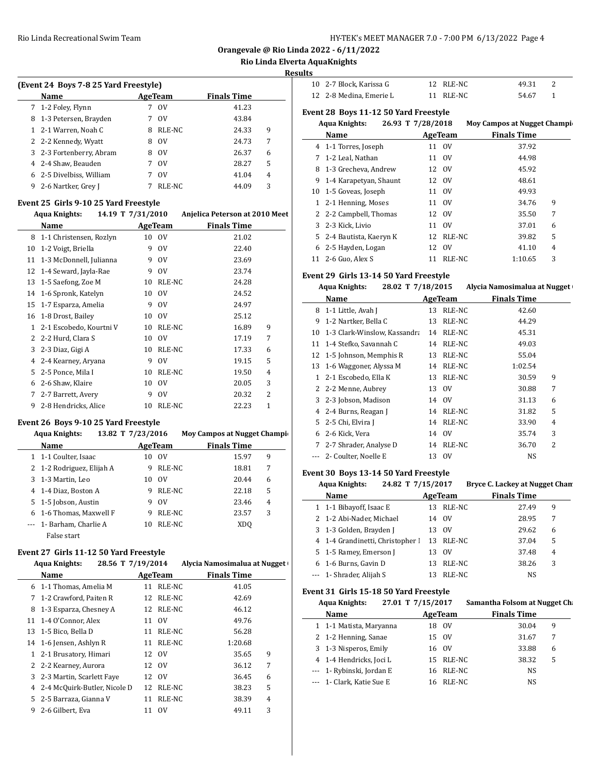**Orangevale @ Rio Linda 2022 - 6/11/2022**

# **Rio Linda Elverta AquaKnights**

**Results**

| (Event 24 Boys 7-8 25 Yard Freestyle) |                          |   |             |                    |   |  |
|---------------------------------------|--------------------------|---|-------------|--------------------|---|--|
|                                       | Name                     |   | AgeTeam     | <b>Finals Time</b> |   |  |
|                                       | 7 1-2 Foley, Flynn       |   | $_{\rm OV}$ | 41.23              |   |  |
| 8                                     | 1-3 Petersen, Brayden    |   | $_{\rm OV}$ | 43.84              |   |  |
|                                       | 1 2-1 Warren, Noah C     | 8 | RLE-NC      | 24.33              | 9 |  |
|                                       | 2 2-2 Kennedy, Wyatt     | 8 | $_{\rm OV}$ | 24.73              | 7 |  |
|                                       | 3 2-3 Fortenberry, Abram | 8 | $_{\rm OV}$ | 26.37              | 6 |  |
|                                       | 4 2-4 Shaw, Beauden      |   | $_{\rm OV}$ | 28.27              | 5 |  |
|                                       | 6 2-5 Divelbiss, William |   | $_{\rm OV}$ | 41.04              | 4 |  |
| 9                                     | 2-6 Nartker, Grey J      |   | RLE-NC      | 44.09              | 3 |  |

#### **Event 25 Girls 9-10 25 Yard Freestyle**

|    | <b>Aqua Knights:</b>    | 14.19 T 7/31/2010 |               | Anjelica Peterson at 2010 Meet |
|----|-------------------------|-------------------|---------------|--------------------------------|
|    | Name                    |                   | AgeTeam       | <b>Finals Time</b>             |
| 8  | 1-1 Christensen, Rozlyn | 10                | <sub>OV</sub> | 21.02                          |
| 10 | 1-2 Voigt, Briella      | 9                 | 0V            | 22.40                          |
| 11 | 1-3 McDonnell, Julianna | 9                 | 0V            | 23.69                          |
| 12 | 1-4 Seward, Jayla-Rae   | 9                 | 0V            | 23.74                          |
| 13 | 1-5 Saefong, Zoe M      | 10                | RLE-NC        | 24.28                          |
| 14 | 1-6 Spronk, Katelyn     | 10                | 0V            | 24.52                          |
| 15 | 1-7 Esparza, Amelia     | 9                 | $_{\rm OV}$   | 24.97                          |
| 16 | 1-8 Drost, Bailey       | 10                | 0V            | 25.12                          |
| 1  | 2-1 Escobedo, Kourtni V | 10                | RLE-NC        | 9<br>16.89                     |
| 2  | 2-2 Hurd, Clara S       | 10                | 0V            | 7<br>17.19                     |
| 3  | 2-3 Diaz, Gigi A        | 10                | RLE-NC        | 17.33<br>6                     |
| 4  | 2-4 Kearney, Aryana     | 9                 | 0V            | 5<br>19.15                     |
| 5. | 2-5 Ponce, Mila I       | 10                | RLE-NC        | 19.50<br>4                     |
| 6  | 2-6 Shaw, Klaire        | 10                | 0V            | 3<br>20.05                     |
| 7  | 2-7 Barrett, Avery      | 9                 | 0V            | $\overline{c}$<br>20.32        |
| 9  | 2-8 Hendricks, Alice    | 10                | RLE-NC        | $\mathbf{1}$<br>22.23          |

# **Event 26 Boys 9-10 25 Yard Freestyle**

|   | <b>Aqua Knights:</b>      | 13.82 T 7/23/2016 |                | <b>Moy Campos at Nugget Champi-</b> |   |
|---|---------------------------|-------------------|----------------|-------------------------------------|---|
|   | <b>Name</b>               |                   | <b>AgeTeam</b> | <b>Finals Time</b>                  |   |
|   | 1 1-1 Coulter, Isaac      | 10                | - OV           | 15.97                               | 9 |
|   | 2 1-2 Rodriguez, Elijah A | 9                 | RLE-NC         | 18.81                               | 7 |
| 3 | 1-3 Martin, Leo           | 10                | 0V             | 20.44                               | 6 |
|   | 4 1-4 Diaz, Boston A      | 9                 | RLE-NC         | 22.18                               | 5 |
|   | 5 1-5 Jobson, Austin      | 9                 | $_{\rm OV}$    | 23.46                               | 4 |
| 6 | 1-6 Thomas, Maxwell F     | 9                 | RLE-NC         | 23.57                               | 3 |
|   | --- 1- Barham, Charlie A  | 10                | RLE-NC         | XDO                                 |   |
|   | False start               |                   |                |                                     |   |

# **Event 27 Girls 11-12 50 Yard Freestyle**

| Aqua Knights:                 | 28.56 T 7/19/2014                                   | Alycia Namosimalua at Nugget |
|-------------------------------|-----------------------------------------------------|------------------------------|
| $\mathbf{M}$ and $\mathbf{A}$ | $\mathbf{A} = \mathbf{B}$ $\mathbf{B} = \mathbf{B}$ | <b>The collect Planning</b>  |

|    | Name                         | AgeTeam |             | <b>Finals Time</b> |   |  |
|----|------------------------------|---------|-------------|--------------------|---|--|
| 6  | 1-1 Thomas, Amelia M         | 11      | RLE-NC      | 41.05              |   |  |
| 7  | 1-2 Crawford, Paiten R       |         | 12 RLE-NC   | 42.69              |   |  |
| 8  | 1-3 Esparza, Chesney A       |         | 12 RLE-NC   | 46.12              |   |  |
|    | 11 1-4 O'Connor, Alex        | 11      | 0V          | 49.76              |   |  |
| 13 | 1-5 Bico, Bella D            | 11      | RLE-NC      | 56.28              |   |  |
| 14 | 1-6 Jensen, Ashlyn R         | 11      | RLE-NC      | 1:20.68            |   |  |
| 1  | 2-1 Brusatory, Himari        |         | 12 OV       | 35.65              | 9 |  |
|    | 2 2-2 Kearney, Aurora        |         | 12 OV       | 36.12              | 7 |  |
| 3  | 2-3 Martin, Scarlett Faye    |         | 12 OV       | 36.45              | 6 |  |
| 4  | 2-4 McQuirk-Butler, Nicole D | 12      | RLE-NC      | 38.23              | 5 |  |
| 5. | 2-5 Barraza, Gianna V        | 11      | RLE-NC      | 38.39              | 4 |  |
| 9  | 2-6 Gilbert, Eva             | 11      | $_{\rm OV}$ | 49.11              | 3 |  |

| 10 2-7 Block, Karissa G | 12 RLE-NC | 49.31 |  |
|-------------------------|-----------|-------|--|
| 12 2-8 Medina, Emerie L | 11 RLE-NC | 54.67 |  |

#### **Event 28 Boys 11-12 50 Yard Freestyle**

|    | <b>Aqua Knights:</b>     | 26.93 T 7/28/2018 |             | <b>Moy Campos at Nugget Champig</b> |   |
|----|--------------------------|-------------------|-------------|-------------------------------------|---|
|    | Name                     |                   | AgeTeam     | <b>Finals Time</b>                  |   |
|    | 4 1-1 Torres, Joseph     |                   | 11 OV       | 37.92                               |   |
| 7  | 1-2 Leal, Nathan         | 11                | 0V          | 44.98                               |   |
| 8  | 1-3 Grecheva, Andrew     |                   | 12 OV       | 45.92                               |   |
| 9  | 1-4 Karapetyan, Shaunt   |                   | 12 OV       | 48.61                               |   |
|    | 10 1-5 Goveas, Joseph    | 11                | $_{\rm OV}$ | 49.93                               |   |
|    | 2-1 Henning, Moses       |                   | 11 OV       | 34.76                               | 9 |
|    | 2 2-2 Campbell, Thomas   |                   | 12 OV       | 35.50                               | 7 |
| 3  | 2-3 Kick, Livio          | 11                | 0V          | 37.01                               | 6 |
|    | 5 2-4 Bautista, Kaeryn K |                   | 12 RLE-NC   | 39.82                               | 5 |
|    | 6 2-5 Hayden, Logan      |                   | 12 OV       | 41.10                               | 4 |
| 11 | 2-6 Guo, Alex S          | 11                | RLE-NC      | 1:10.65                             | 3 |

# **Event 29 Girls 13-14 50 Yard Freestyle**

| 28.02 T 7/18/2015<br>Aqua Knights: | Alycia Namosimalua at Nugget |
|------------------------------------|------------------------------|
|------------------------------------|------------------------------|

|    | Name                         |    | AgeTeam | <b>Finals Time</b> |   |
|----|------------------------------|----|---------|--------------------|---|
| 8  | 1-1 Little, Avah J           | 13 | RLE-NC  | 42.60              |   |
| 9  | 1-2 Nartker, Bella C         | 13 | RLE-NC  | 44.29              |   |
| 10 | 1-3 Clark-Winslow, Kassandra | 14 | RLE-NC  | 45.31              |   |
| 11 | 1-4 Stefko, Savannah C       | 14 | RLE-NC  | 49.03              |   |
| 12 | 1-5 Johnson, Memphis R       | 13 | RLE-NC  | 55.04              |   |
| 13 | 1-6 Waggoner, Alyssa M       | 14 | RLE-NC  | 1:02.54            |   |
| 1  | 2-1 Escobedo, Ella K         | 13 | RLE-NC  | 30.59              | 9 |
| 2  | 2-2 Menne, Aubrey            | 13 | 0V      | 30.88              | 7 |
| 3  | 2-3 Jobson, Madison          |    | 14 OV   | 31.13              | 6 |
| 4  | 2-4 Burns, Reagan J          | 14 | RLE-NC  | 31.82              | 5 |
|    | 5 2-5 Chi, Elvira J          | 14 | RLE-NC  | 33.90              | 4 |
| 6  | 2-6 Kick, Vera               | 14 | 0V      | 35.74              | 3 |
| 7  | 2-7 Shrader, Analyse D       | 14 | RLE-NC  | 36.70              | 2 |
|    | 2- Coulter, Noelle E         | 13 | 0V      | NS                 |   |

# **Event 30 Boys 13-14 50 Yard Freestyle**

| 24.82 T 7/15/2017<br><b>Aqua Knights:</b> |    |             | Bryce C. Lackey at Nugget Chan |                |
|-------------------------------------------|----|-------------|--------------------------------|----------------|
| Name                                      |    | AgeTeam     | <b>Finals Time</b>             |                |
| 1 1-1 Bibayoff, Isaac E                   |    | 13 RLE-NC   | 27.49                          | 9              |
| 2 1-2 Abi-Nader, Michael                  | 14 | 0V          | 28.95                          | 7              |
| 3 1-3 Golden, Brayden J                   | 13 | 0V          | 29.62                          | 6              |
| 4 1-4 Grandinetti, Christopher I          |    | 13 RLE-NC   | 37.04                          | 5              |
| 5 1-5 Ramey, Emerson J                    | 13 | $_{\rm OV}$ | 37.48                          | $\overline{4}$ |
| 6 1-6 Burns, Gavin D                      | 13 | RLE-NC      | 38.26                          | 3              |
| --- 1- Shrader, Alijah S                  | 13 | RLE-NC      | NS                             |                |

# **Event 31 Girls 15-18 50 Yard Freestyle**

 $\overline{a}$ 

| <b>Aqua Knights:</b>      | 27.01 T 7/15/2017 | Samantha Folsom at Nugget Cha |  |
|---------------------------|-------------------|-------------------------------|--|
| Name                      | AgeTeam           | <b>Finals Time</b>            |  |
| 1 1-1 Matista, Maryanna   | 0V<br>18          | 30.04<br>9                    |  |
| 2 1-2 Henning, Sanae      | 15 OV             | 31.67                         |  |
| 3 1-3 Nisperos, Emily     | 16 OV             | 33.88<br>6                    |  |
| 4 1-4 Hendricks, Joci L   | 15 RLE-NC         | 38.32<br>5                    |  |
| --- 1- Rybinski, Jordan E | 16 RLE-NC         | <b>NS</b>                     |  |
| --- 1- Clark, Katie Sue E | RLE-NC<br>16.     | NS.                           |  |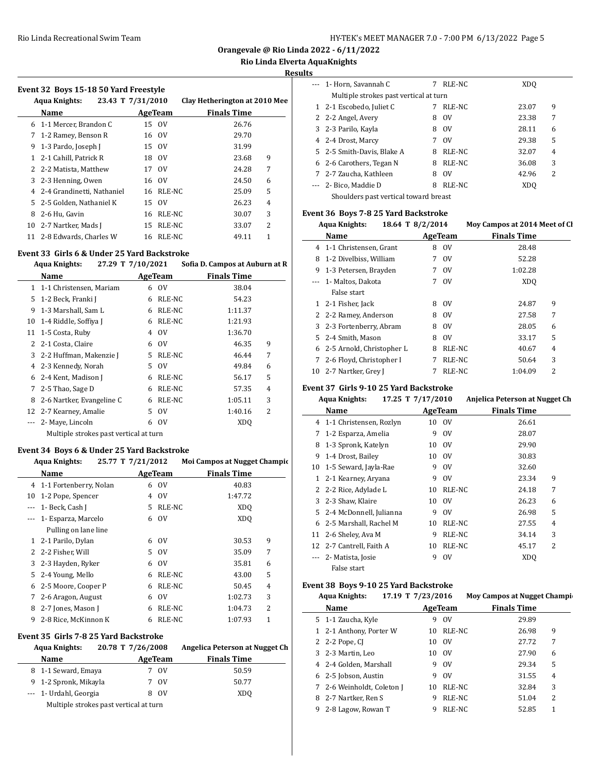**Orangevale @ Rio Linda 2022 - 6/11/2022**

**Rio Linda Elverta AquaKnights**

**Results**

#### **Event 32 Boys 15-18 50 Yard Freestyle**

|    | Aqua Knights:<br>23.43 T 7/31/2010 |         |           | Clay Hetherington at 2010 Mee |
|----|------------------------------------|---------|-----------|-------------------------------|
|    | Name                               | AgeTeam |           | <b>Finals Time</b>            |
|    | 6 1-1 Mercer, Brandon C            |         | 15 OV     | 26.76                         |
| 7  | 1-2 Ramey, Benson R                |         | 16 OV     | 29.70                         |
| 9  | 1-3 Pardo, Joseph J                |         | 15 OV     | 31.99                         |
| 1. | 2-1 Cahill, Patrick R              |         | 18 OV     | 9<br>23.68                    |
|    | 2 2-2 Matista, Matthew             |         | 17 OV     | 7<br>24.28                    |
| 3  | 2-3 Henning, Owen                  |         | 16 OV     | 24.50<br>6                    |
|    | 4 2-4 Grandinetti, Nathaniel       |         | 16 RLE-NC | 5<br>25.09                    |
| 5. | 2-5 Golden, Nathaniel K            | 15      | 0V        | 26.23<br>4                    |
| 8  | 2-6 Hu, Gavin                      | 16      | RLE-NC    | 3<br>30.07                    |
| 10 | 2-7 Nartker, Mads J                | 15      | RLE-NC    | 2<br>33.07                    |
| 11 | 2-8 Edwards, Charles W             |         | 16 RLE-NC | 1<br>49.11                    |
|    |                                    |         |           |                               |

# **Event 33 Girls 6 & Under 25 Yard Backstroke**

|    | 27.29 T 7/10/2021<br><b>Aqua Knights:</b> |    |                       | Sofia D. Campos at Auburn at R |                |
|----|-------------------------------------------|----|-----------------------|--------------------------------|----------------|
|    | Name                                      |    | <b>AgeTeam</b>        | <b>Finals Time</b>             |                |
| 1  | 1-1 Christensen, Mariam                   | 6  | $\overline{\text{O}}$ | 38.04                          |                |
| 5  | 1-2 Beck, Franki J                        | 6  | RLE-NC                | 54.23                          |                |
| 9  | 1-3 Marshall, Sam L                       | 6  | RLE-NC                | 1:11.37                        |                |
| 10 | 1-4 Riddle, Soffiya J                     | 6  | RLE-NC                | 1:21.93                        |                |
| 11 | 1-5 Costa, Ruby                           | 4  | 0V                    | 1:36.70                        |                |
| 2  | 2-1 Costa, Claire                         | 6  | 0V                    | 46.35                          | 9              |
| 3  | 2-2 Huffman, Makenzie J                   | 5. | RLE-NC                | 46.44                          | 7              |
| 4  | 2-3 Kennedy, Norah                        | 5. | 0V                    | 49.84                          | 6              |
| 6  | 2-4 Kent, Madison J                       | 6  | RLE-NC                | 56.17                          | 5              |
| 7  | 2-5 Thao, Sage D                          | 6  | RLE-NC                | 57.35                          | 4              |
| 8  | 2-6 Nartker, Evangeline C                 | 6  | RLE-NC                | 1:05.11                        | 3              |
| 12 | 2-7 Kearney, Amalie                       | 5. | $_{\rm OV}$           | 1:40.16                        | $\overline{2}$ |
|    | 2- Maye, Lincoln                          | 6  | 0V                    | XDO                            |                |
|    | Multiple strokes past vertical at turn    |    |                       |                                |                |

### **Event 34 Boys 6 & Under 25 Yard Backstroke**

#### Aqua Knights: 25.77 T 7/21/2012 Moi Campos at Nugget Champic

|    | Name                     |    | AgeTeam     | <b>Finals Time</b> |   |
|----|--------------------------|----|-------------|--------------------|---|
|    | 4 1-1 Fortenberry, Nolan | 6  | 0V          | 40.83              |   |
| 10 | 1-2 Pope, Spencer        | 4  | 0V          | 1:47.72            |   |
|    | 1- Beck, Cash J          | 5  | RLE-NC      | XD <sub>0</sub>    |   |
|    | 1- Esparza, Marcelo      | 6  | 0V          | XD <sub>0</sub>    |   |
|    | Pulling on lane line     |    |             |                    |   |
|    | 1 2-1 Parilo, Dylan      | 6  | 0V          | 30.53              | 9 |
|    | 2 2-2 Fisher, Will       | 5. | 0V          | 35.09              | 7 |
|    | 3 2-3 Hayden, Ryker      | 6  | 0V          | 35.81              | 6 |
|    | 5 2-4 Young, Mello       | 6  | RLE-NC      | 43.00              | 5 |
| 6  | 2-5 Moore, Cooper P      | 6  | RLE-NC      | 50.45              | 4 |
| 7  | 2-6 Aragon, August       | 6  | $_{\rm OV}$ | 1:02.73            | 3 |
| 8  | 2-7 Jones, Mason J       | 6  | RLE-NC      | 1:04.73            | 2 |
| 9  | 2-8 Rice, McKinnon K     | 6  | RLE-NC      | 1:07.93            | 1 |

#### **Event 35 Girls 7-8 25 Yard Backstroke**

| 20.78 T 7/26/2008<br>Aqua Knights: |  |   |         | Angelica Peterson at Nugget Ch |  |
|------------------------------------|--|---|---------|--------------------------------|--|
| <b>Name</b>                        |  |   | AgeTeam | <b>Finals Time</b>             |  |
| 8 1-1 Seward, Emaya                |  |   | OV      | 50.59                          |  |
| 9 1-2 Spronk, Mikayla              |  | 7 | OV      | 50.77                          |  |
| --- 1- Urdahl, Georgia             |  |   | - OV    | XDO                            |  |

Multiple strokes past vertical at turn

| ~                                     |                                        |   |             |                 |                |  |
|---------------------------------------|----------------------------------------|---|-------------|-----------------|----------------|--|
|                                       | --- 1- Horn, Savannah C                | 7 | RLE-NC      | XDO             |                |  |
|                                       | Multiple strokes past vertical at turn |   |             |                 |                |  |
|                                       | 1 2-1 Escobedo, Juliet C               |   | RLE-NC      | 23.07           | 9              |  |
|                                       | 2 2-2 Angel, Avery                     | 8 | 0V          | 23.38           | 7              |  |
|                                       | 3 2-3 Parilo, Kayla                    | 8 | 0V          | 28.11           | 6              |  |
|                                       | 4 2-4 Drost, Marcy                     |   | $_{\rm OV}$ | 29.38           | 5              |  |
|                                       | 5 2-5 Smith-Davis, Blake A             | 8 | RLE-NC      | 32.07           | $\overline{4}$ |  |
|                                       | 6 2-6 Carothers, Tegan N               | 8 | RLE-NC      | 36.08           | 3              |  |
|                                       | 7 2-7 Zaucha, Kathleen                 | 8 | $_{\rm OV}$ | 42.96           | 2              |  |
|                                       | --- 2- Bico, Maddie D                  | 8 | RLE-NC      | XD <sub>0</sub> |                |  |
| Shoulders past vertical toward breast |                                        |   |             |                 |                |  |

#### **Event 36 Boys 7-8 25 Yard Backstroke**

|    | 18.64 T 8/2/2014<br><b>Aqua Knights:</b> |   |         | Moy Campos at 2014 Meet of Cl |   |
|----|------------------------------------------|---|---------|-------------------------------|---|
|    | Name                                     |   | AgeTeam | <b>Finals Time</b>            |   |
| 4  | 1-1 Christensen, Grant                   | 8 | 0V      | 28.48                         |   |
| 8  | 1-2 Divelbiss, William                   | 7 | 0V      | 52.28                         |   |
| 9  | 1-3 Petersen, Brayden                    | 7 | 0V      | 1:02.28                       |   |
|    | 1- Maltos, Dakota                        | 7 | 0V      | XD <sub>O</sub>               |   |
|    | False start                              |   |         |                               |   |
| 1  | 2-1 Fisher, Jack                         | 8 | 0V      | 24.87                         | 9 |
| 2  | 2-2 Ramey, Anderson                      | 8 | 0V      | 27.58                         | 7 |
| 3  | 2-3 Fortenberry, Abram                   | 8 | 0V      | 28.05                         | 6 |
| 5. | 2-4 Smith, Mason                         | 8 | 0V      | 33.17                         | 5 |
| 6  | 2-5 Arnold, Christopher L                | 8 | RLE-NC  | 40.67                         | 4 |
| 7  | 2-6 Floyd, Christopher I                 | 7 | RLE-NC  | 50.64                         | 3 |
| 10 | 2-7 Nartker, Grey J                      |   | RLE-NC  | 1:04.09                       | 2 |

#### **Event 37 Girls 9-10 25 Yard Backstroke**

|    | <b>Aqua Knights:</b>    | 17.25 T 7/17/2010 |               | Anjelica Peterson at Nugget Ch |   |
|----|-------------------------|-------------------|---------------|--------------------------------|---|
|    | Name                    |                   | AgeTeam       | <b>Finals Time</b>             |   |
| 4  | 1-1 Christensen, Rozlyn |                   | 10 OV         | 26.61                          |   |
| 7  | 1-2 Esparza, Amelia     | 9                 | <sub>OV</sub> | 28.07                          |   |
| 8  | 1-3 Spronk, Katelyn     | 10                | 0V            | 29.90                          |   |
| 9  | 1-4 Drost, Bailey       | 10                | 0V            | 30.83                          |   |
| 10 | 1-5 Seward, Jayla-Rae   | 9                 | 0V            | 32.60                          |   |
| 1  | 2-1 Kearney, Aryana     | 9                 | <sub>OV</sub> | 23.34                          | 9 |
| 2  | 2-2 Rice, Adylade L     | 10                | RLE-NC        | 24.18                          | 7 |
| 3  | 2-3 Shaw, Klaire        | 10                | 0V            | 26.23                          | 6 |
| 5. | 2-4 McDonnell, Julianna | 9                 | 0V            | 26.98                          | 5 |
| 6  | 2-5 Marshall, Rachel M  | 10                | RLE-NC        | 27.55                          | 4 |
| 11 | 2-6 Sheley, Ava M       | 9                 | RLE-NC        | 34.14                          | 3 |
| 12 | 2-7 Cantrell, Faith A   | 10                | RLE-NC        | 45.17                          | 2 |
|    | 2- Matista, Josie       | 9                 | 0V            | XD <sub>O</sub>                |   |
|    | False start             |                   |               |                                |   |

## **Event 38 Boys 9-10 25 Yard Backstroke**

|   | Aqua Knights:            | 17.19 T 7/23/2016 |             | Moy Campos at Nugget Champi |
|---|--------------------------|-------------------|-------------|-----------------------------|
|   | Name                     |                   | AgeTeam     | <b>Finals Time</b>          |
|   | 5 1-1 Zaucha, Kyle       | 9                 | $_{\rm OV}$ | 29.89                       |
| 1 | 2-1 Anthony, Porter W    | 10                | RLE-NC      | 26.98<br>9                  |
|   | 2 2-2 Pope, CJ           | 10                | 0V          | 7<br>27.72                  |
|   | 3 2-3 Martin, Leo        |                   | 10 OV       | 27.90<br>6                  |
|   | 4 2-4 Golden, Marshall   | 9                 | $_{\rm OV}$ | 5<br>29.34                  |
| 6 | 2-5 Jobson, Austin       | 9                 | $_{\rm OV}$ | 31.55<br>4                  |
| 7 | 2-6 Weinholdt, Coleton J | 10                | RLE-NC      | 3<br>32.84                  |
| 8 | 2-7 Nartker, Ren S       | 9                 | RLE-NC      | 2<br>51.04                  |
| 9 | 2-8 Lagow, Rowan T       | 9                 | RLE-NC      | 52.85<br>1                  |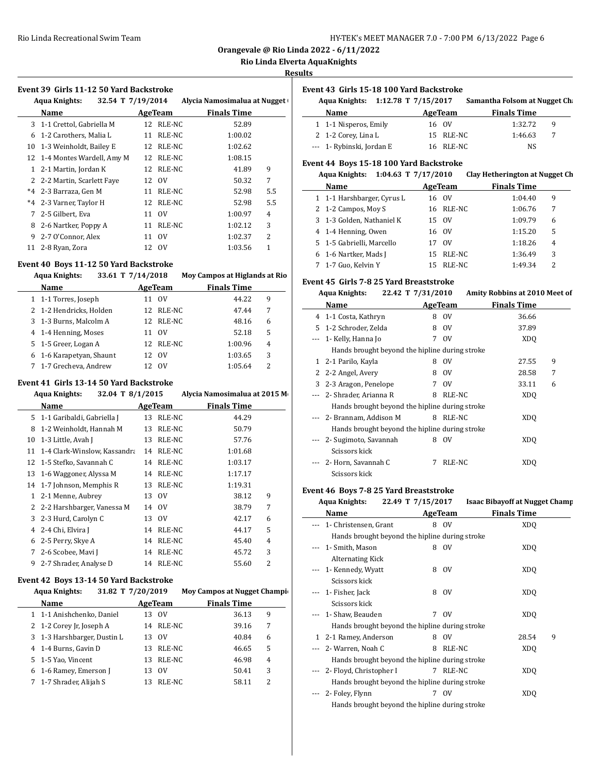**Orangevale @ Rio Linda 2022 - 6/11/2022**

# **Rio Linda Elverta AquaKnights**

**Results**

 $\overline{a}$ 

#### **Event 39 Girls 11-12 50 Yard Backstroke**

| <b>Aqua Knights:</b> |                              | 32.54 T 7/19/2014 |             | Alycia Namosimalua at Nugget |     |  |
|----------------------|------------------------------|-------------------|-------------|------------------------------|-----|--|
|                      | Name                         | AgeTeam           |             | <b>Finals Time</b>           |     |  |
| 3                    | 1-1 Crettol, Gabriella M     | 12                | RLE-NC      | 52.89                        |     |  |
| 6                    | 1-2 Carothers, Malia L       | 11                | RLE-NC      | 1:00.02                      |     |  |
| 10                   | 1-3 Weinholdt, Bailey E      | 12                | RLE-NC      | 1:02.62                      |     |  |
|                      | 12 1-4 Montes Wardell, Amy M | 12                | RLE-NC      | 1:08.15                      |     |  |
| $\mathbf{1}$         | 2-1 Martin, Jordan K         |                   | 12 RLE-NC   | 41.89                        | 9   |  |
|                      | 2 2-2 Martin, Scarlett Faye  | 12                | $_{\rm OV}$ | 50.32                        | 7   |  |
|                      | *4 2-3 Barraza, Gen M        | 11                | RLE-NC      | 52.98                        | 5.5 |  |
| $*_{4}$              | 2-3 Varner, Taylor H         |                   | 12 RLE-NC   | 52.98                        | 5.5 |  |
| 7                    | 2-5 Gilbert, Eva             | 11                | $_{\rm OV}$ | 1:00.97                      | 4   |  |
| 8                    | 2-6 Nartker, Poppy A         | 11                | RLE-NC      | 1:02.12                      | 3   |  |
| 9                    | 2-7 O'Connor, Alex           | 11                | $_{\rm OV}$ | 1:02.37                      | 2   |  |
| 11                   | 2-8 Ryan, Zora               | 12                | 0V          | 1:03.56                      | 1   |  |

#### **Event 40 Boys 11-12 50 Yard Backstroke**

| <b>Aqua Knights:</b>     | 33.61 T 7/14/2018 |           | Moy Campos at Higlands at Rio |   |
|--------------------------|-------------------|-----------|-------------------------------|---|
| Name                     |                   | AgeTeam   | <b>Finals Time</b>            |   |
| 1 1-1 Torres, Joseph     | 11                | 0V        | 44.22                         | 9 |
| 2 1-2 Hendricks, Holden  |                   | 12 RLE-NC | 47.44                         | 7 |
| 3 1-3 Burns, Malcolm A   |                   | 12 RLE-NC | 48.16                         | 6 |
| 4 1-4 Henning, Moses     | 11                | 0V        | 52.18                         | 5 |
| 5 1-5 Greer, Logan A     |                   | 12 RLE-NC | 1:00.96                       | 4 |
| 6 1-6 Karapetyan, Shaunt |                   | 12 OV     | 1:03.65                       | 3 |
| 7 1-7 Grecheva, Andrew   |                   | 12 OV     | 1:05.64                       | 2 |

# **Event 41 Girls 13-14 50 Yard Backstroke**

| <b>Aqua Knights:</b> |                              | 32.04 T 8/1/2015 |           | Alycia Namosimalua at 2015 M |   |  |
|----------------------|------------------------------|------------------|-----------|------------------------------|---|--|
|                      | Name                         |                  | AgeTeam   | <b>Finals Time</b>           |   |  |
|                      | 5 1-1 Garibaldi, Gabriella J | 13               | RLE-NC    | 44.29                        |   |  |
| 8                    | 1-2 Weinholdt, Hannah M      | 13               | RLE-NC    | 50.79                        |   |  |
| 10                   | 1-3 Little, Avah J           | 13               | RLE-NC    | 57.76                        |   |  |
| 11                   | 1-4 Clark-Winslow, Kassandra |                  | 14 RLE-NC | 1:01.68                      |   |  |
|                      | 12 1-5 Stefko, Savannah C    | 14               | RLE-NC    | 1:03.17                      |   |  |
| 13                   | 1-6 Waggoner, Alyssa M       | 14               | RLE-NC    | 1:17.17                      |   |  |
|                      | 14 1-7 Johnson, Memphis R    |                  | 13 RLE-NC | 1:19.31                      |   |  |
| $\mathbf{1}$         | 2-1 Menne, Aubrey            | 13               | 0V        | 38.12                        | 9 |  |
| 2                    | 2-2 Harshbarger, Vanessa M   | 14               | 0V        | 38.79                        | 7 |  |
|                      | 3 2-3 Hurd, Carolyn C        |                  | 13 OV     | 42.17                        | 6 |  |
| 4                    | 2-4 Chi, Elvira J            | 14               | RLE-NC    | 44.17                        | 5 |  |
| 6                    | 2-5 Perry, Skye A            | 14               | RLE-NC    | 45.40                        | 4 |  |
| 7                    | 2-6 Scobee, Mavi J           | 14               | RLE-NC    | 45.72                        | 3 |  |
| 9                    | 2-7 Shrader, Analyse D       | 14               | RLE-NC    | 55.60                        | 2 |  |
|                      |                              |                  |           |                              |   |  |

#### **Event 42 Boys 13-14 50 Yard Backstroke**

# Aqua Knights: **31.82** T  $7/20/2019$  Moy Campos at Nugget Champions

| Name                        | AgeTeam           | <b>Finals Time</b> |   |
|-----------------------------|-------------------|--------------------|---|
| 1 1-1 Anishchenko, Daniel   | 0V<br>13          | 36.13              | 9 |
| 2 1-2 Corey Jr, Joseph A    | RLE-NC<br>14      | 39.16              | 7 |
| 3 1-3 Harshbarger, Dustin L | - OV<br>13.       | 40.84              | 6 |
| 4 1-4 Burns, Gavin D        | RLE-NC<br>13      | 46.65              | 5 |
| 5 1-5 Yao, Vincent          | RLE-NC<br>13.     | 46.98              | 4 |
| 6 1-6 Ramey, Emerson J      | $_{\rm OV}$<br>13 | 50.41              | 3 |
| 7 1-7 Shrader, Alijah S     | RLE-NC            | 58.11              | 2 |

#### **Event 43 Girls 15-18 100 Yard Backstroke**

| Aqua Knights: 1:12.78 T 7/15/2017 |                           |         |           | Samantha Folsom at Nugget Cha |   |  |
|-----------------------------------|---------------------------|---------|-----------|-------------------------------|---|--|
|                                   | Name                      | AgeTeam |           | <b>Finals Time</b>            |   |  |
|                                   | 1 1-1 Nisperos, Emily     | 16 OV   |           | 1:32.72                       | q |  |
|                                   | 2 1-2 Corey, Lina L       |         | 15 RLE-NC | 1:46.63                       |   |  |
|                                   | --- 1- Rybinski, Jordan E |         | 16 RLE-NC | NS.                           |   |  |

# **Event 44 Boys 15-18 100 Yard Backstroke**

#### **Aqua Knights: 1:04.63 T 7/17/2010 Clay Hetherington at Nugget Ch**

| Name                       |    | AgeTeam     | <b>Finals Time</b> |                          |  |
|----------------------------|----|-------------|--------------------|--------------------------|--|
| 1 1-1 Harshbarger, Cyrus L |    | 16 OV       | 1:04.40            | 9                        |  |
| 2 1-2 Campos, Moy S        |    | 16 RLE-NC   | 1:06.76            | 7                        |  |
| 3 1-3 Golden, Nathaniel K  |    | 15 OV       | 1:09.79            | 6                        |  |
| 4 1-4 Henning, Owen        |    | 16 OV       | 1:15.20            | 5                        |  |
| 5 1-5 Gabrielli, Marcello  |    | $_{\rm OV}$ | 1:18.26            | $\overline{4}$           |  |
| 6 1-6 Nartker, Mads J      |    | 15 RLE-NC   | 1:36.49            | 3                        |  |
| 7 1-7 Guo, Kelvin Y        | 15 | RLE-NC      | 1:49.34            | $\overline{\mathcal{L}}$ |  |

#### **Event 45 Girls 7-8 25 Yard Breaststroke**

|    | <b>Aqua Knights:</b>                           | 22.42 T 7/31/2010 |               | Amity Robbins at 2010 Meet of |   |  |  |  |
|----|------------------------------------------------|-------------------|---------------|-------------------------------|---|--|--|--|
|    | Name                                           |                   | AgeTeam       | <b>Finals Time</b>            |   |  |  |  |
| 4  | 1-1 Costa, Kathryn                             | 8                 | 0V            | 36.66                         |   |  |  |  |
| 5. | 1-2 Schroder, Zelda                            | 8                 | 0V            | 37.89                         |   |  |  |  |
|    | 1- Kelly, Hanna Jo                             | 7                 | <sub>OV</sub> | XD <sub>O</sub>               |   |  |  |  |
|    | Hands brought beyond the hipline during stroke |                   |               |                               |   |  |  |  |
| 1  | 2-1 Parilo, Kayla                              | 8                 | <sub>OV</sub> | 27.55                         | 9 |  |  |  |
| 2  | 2-2 Angel, Avery                               | 8                 | 0V            | 28.58                         | 7 |  |  |  |
|    | 3 2-3 Aragon, Penelope                         | 7                 | - OV          | 33.11                         | 6 |  |  |  |
|    | 2- Shrader, Arianna R                          | 8                 | RLE-NC        | XD <sub>0</sub>               |   |  |  |  |
|    | Hands brought beyond the hipline during stroke |                   |               |                               |   |  |  |  |
|    | 2- Brannam, Addison M                          |                   | 8 RLE-NC      | XD <sub>0</sub>               |   |  |  |  |
|    | Hands brought beyond the hipline during stroke |                   |               |                               |   |  |  |  |
|    | 2- Sugimoto, Savannah                          | 8                 | 0V            | XD <sub>0</sub>               |   |  |  |  |
|    | Scissors kick                                  |                   |               |                               |   |  |  |  |
|    | 2- Horn, Savannah C                            | 7                 | RLE-NC        | XDO                           |   |  |  |  |
|    | Scissors kick                                  |                   |               |                               |   |  |  |  |

#### **Event 46 Boys 7-8 25 Yard Breaststroke**

 $\overline{a}$ 

| <b>Aqua Knights:</b>                           | 22.49 T 7/15/2017 |             | <b>Isaac Bibayoff at Nugget Champ</b> |   |
|------------------------------------------------|-------------------|-------------|---------------------------------------|---|
| Name                                           | AgeTeam           |             | <b>Finals Time</b>                    |   |
| 1- Christensen, Grant                          | 8 OV              |             | XDO                                   |   |
| Hands brought beyond the hipline during stroke |                   |             |                                       |   |
| 1- Smith, Mason                                | 8                 | 0V          | XDO                                   |   |
| Alternating Kick                               |                   |             |                                       |   |
| 1- Kennedy, Wyatt                              | 8                 | $_{\rm OV}$ | XDO                                   |   |
| Scissors kick                                  |                   |             |                                       |   |
| 1- Fisher, Jack                                | 8                 | 0V          | XDO                                   |   |
| Scissors kick                                  |                   |             |                                       |   |
| 1- Shaw, Beauden                               | 7 OV              |             | XDO                                   |   |
| Hands brought beyond the hipline during stroke |                   |             |                                       |   |
| 1 2-1 Ramey, Anderson                          | 8                 | 0V          | 28.54                                 | 9 |
| 2- Warren, Noah C                              | 8                 | RLE-NC      | XDO                                   |   |
| Hands brought beyond the hipline during stroke |                   |             |                                       |   |
| 2- Floyd, Christopher I                        |                   | 7 RLE-NC    | XDO                                   |   |
| Hands brought beyond the hipline during stroke |                   |             |                                       |   |
| 2- Foley, Flynn                                | 7                 | 0V          | XDO                                   |   |
| Hands brought beyond the hipline during stroke |                   |             |                                       |   |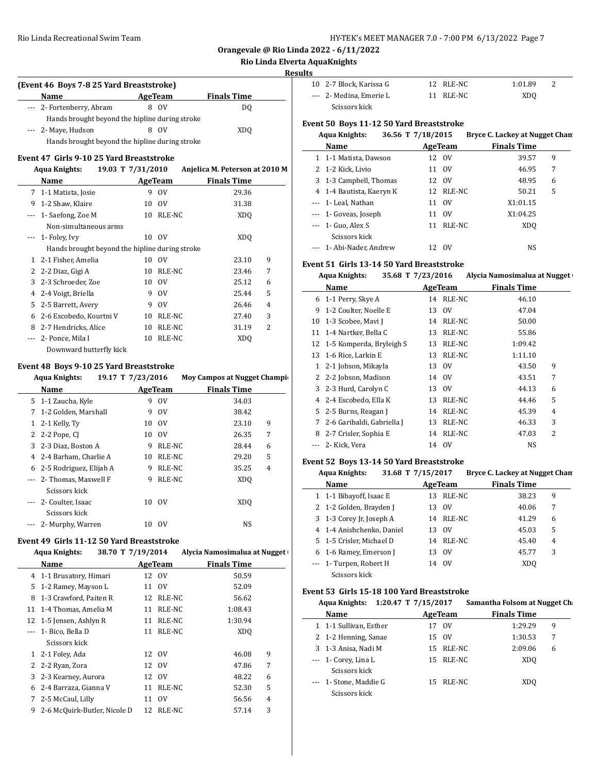**Orangevale @ Rio Linda 2022 - 6/11/2022**

# **Rio Linda Elverta AquaKnights**

#### **Results**

 $\overline{\phantom{0}}$ 

 $\overline{\phantom{a}}$ 

 $\overline{a}$ 

| 0V                                             | DΟ                                             |  |  |  |  |  |  |
|------------------------------------------------|------------------------------------------------|--|--|--|--|--|--|
| Hands brought beyond the hipline during stroke |                                                |  |  |  |  |  |  |
| $_{\rm OV}$                                    | XDO                                            |  |  |  |  |  |  |
|                                                | Hands brought beyond the hipline during stroke |  |  |  |  |  |  |

# **Event 47 Girls 9-10 25 Yard Breaststroke**

|       | 19.03 T 7/31/2010<br>Aqua Knights:             |    |         | Anjelica M. Peterson at 2010 M |   |
|-------|------------------------------------------------|----|---------|--------------------------------|---|
|       | Name                                           |    | AgeTeam | <b>Finals Time</b>             |   |
| 7     | 1-1 Matista, Josie                             | 9  | 0V      | 29.36                          |   |
| 9     | 1-2 Shaw, Klaire                               | 10 | 0V      | 31.38                          |   |
| ---   | 1- Saefong, Zoe M                              | 10 | RLE-NC  | XD <sub>O</sub>                |   |
|       | Non-simultaneous arms                          |    |         |                                |   |
|       | 1- Foley, Ivy                                  |    | 10 OV   | XDO                            |   |
|       | Hands brought beyond the hipline during stroke |    |         |                                |   |
| 1.    | 2-1 Fisher, Amelia                             | 10 | 0V      | 23.10                          | 9 |
| 2     | 2-2 Diaz, Gigi A                               | 10 | RLE-NC  | 23.46                          | 7 |
| 3     | 2-3 Schroeder, Zoe                             | 10 | 0V      | 25.12                          | 6 |
| 4     | 2-4 Voigt, Briella                             | 9  | 0V      | 25.44                          | 5 |
| 5     | 2-5 Barrett, Avery                             | 9  | 0V      | 26.46                          | 4 |
| 6     | 2-6 Escobedo, Kourtni V                        | 10 | RLE-NC  | 27.40                          | 3 |
| 8     | 2-7 Hendricks, Alice                           | 10 | RLE-NC  | 31.19                          | 2 |
| $---$ | 2- Ponce, Mila I                               | 10 | RLE-NC  | XD <sub>O</sub>                |   |
|       | Downward butterfly kick                        |    |         |                                |   |

## **Event 48 Boys 9-10 25 Yard Breaststroke**

|   | <b>Aqua Knights:</b>                      | 19.17 T 7/23/2016 |             | <b>Moy Campos at Nugget Champi</b> |
|---|-------------------------------------------|-------------------|-------------|------------------------------------|
|   | Name                                      |                   | AgeTeam     | <b>Finals Time</b>                 |
|   | 5 1-1 Zaucha, Kyle                        | 9                 | $_{\rm OV}$ | 34.03                              |
| 7 | 1-2 Golden, Marshall                      | 9                 | 0V          | 38.42                              |
| 1 | 2-1 Kelly, Ty                             | 10                | 0V          | 9<br>23.10                         |
|   | 2 2-2 Pope, CI                            | 10                | 0V          | 7<br>26.35                         |
| 3 | 2-3 Diaz, Boston A                        | 9                 | RLE-NC      | 28.44<br>6                         |
|   | 4 2-4 Barham, Charlie A                   | 10                | RLE-NC      | 5<br>29.20                         |
|   | 6 2-5 Rodriguez, Elijah A                 | 9                 | RLE-NC      | 35.25<br>4                         |
|   | --- 2- Thomas, Maxwell F<br>Scissors kick | 9                 | RLE-NC      | XD <sub>0</sub>                    |
|   | --- 2- Coulter, Isaac<br>Scissors kick    | 10                | $_{\rm OV}$ | XD <sub>0</sub>                    |
|   | 2- Murphy, Warren                         | 10                | 0V          | NS                                 |

#### **Event 49 Girls 11-12 50 Yard Breaststroke**

| <b>Aqua Knights:</b> |                              | 38.70 T 7/19/2014 |             | Alycia Namosimalua at Nugget |  |
|----------------------|------------------------------|-------------------|-------------|------------------------------|--|
|                      | Name                         | AgeTeam           |             | <b>Finals Time</b>           |  |
| 4                    | 1-1 Brusatory, Himari        |                   | 12 OV       | 50.59                        |  |
| 5                    | 1-2 Ramey, Mayson L          | 11                | 0V          | 52.09                        |  |
| 8                    | 1-3 Crawford, Paiten R       | 12                | RLE-NC      | 56.62                        |  |
| 11                   | 1-4 Thomas, Amelia M         | 11                | RLE-NC      | 1:08.43                      |  |
| 12                   | 1-5 Jensen, Ashlyn R         | 11                | RLE-NC      | 1:30.94                      |  |
|                      | 1- Bico, Bella D             | 11                | RLE-NC      | XD <sub>0</sub>              |  |
|                      | Scissors kick                |                   |             |                              |  |
| 1                    | 2-1 Foley, Ada               |                   | 12 OV       | 9<br>46.08                   |  |
| 2                    | 2-2 Ryan, Zora               |                   | 12 OV       | 7<br>47.86                   |  |
| 3                    | 2-3 Kearney, Aurora          |                   | 12 OV       | 6<br>48.22                   |  |
| 6                    | 2-4 Barraza, Gianna V        | 11                | RLE-NC      | 5<br>52.30                   |  |
| 7                    | 2-5 McCaul, Lilly            | 11                | $_{\rm OV}$ | 56.56<br>4                   |  |
| 9                    | 2-6 McQuirk-Butler, Nicole D | 12                | RLE-NC      | 3<br>57.14                   |  |
|                      |                              |                   |             |                              |  |

| 10 2-7 Block, Karissa G | 12 RLE-NC | 1:01.89 |
|-------------------------|-----------|---------|
| --- 2- Medina. Emerie L | 11 RLE-NC | XDO     |
| Scissors kick           |           |         |

#### **Event 50 Boys 11-12 50 Yard Breaststroke Aqua Knights: 36.56 T 7/18/2015 Bryce C. Lackey at Nugget Cham**

|  | Aqua Khights:            | 30.50 1 //18/2015 |             | Bryce C. Lackey at Nugget Chair |   |
|--|--------------------------|-------------------|-------------|---------------------------------|---|
|  | Name                     |                   | AgeTeam     | <b>Finals Time</b>              |   |
|  | 1 1-1 Matista, Dawson    |                   | 12 OV       | 39.57                           | 9 |
|  | 2 1-2 Kick, Livio        |                   | 11 OV       | 46.95                           | 7 |
|  | 3 1-3 Campbell, Thomas   |                   | 12 OV       | 48.95                           | 6 |
|  | 4 1-4 Bautista, Kaeryn K |                   | 12 RLE-NC   | 50.21                           | 5 |
|  | --- 1- Leal, Nathan      |                   | 11 OV       | X1:01.15                        |   |
|  | --- 1- Goveas, Joseph    | 11                | $_{\rm OV}$ | X1:04.25                        |   |
|  | $-$ 1 Guo, Alex S        |                   | 11 RLE-NC   | XD <sub>O</sub>                 |   |
|  | Scissors kick            |                   |             |                                 |   |
|  | --- 1- Abi-Nader, Andrew |                   | 12 OV       | NS                              |   |

## **Event 51 Girls 13-14 50 Yard Breaststroke**

|    | <b>Aqua Knights:</b><br>35.68 T 7/23/2016 |    |         | Alycia Namosimalua at Nugget |
|----|-------------------------------------------|----|---------|------------------------------|
|    | Name                                      |    | AgeTeam | <b>Finals Time</b>           |
| 6  | 1-1 Perry, Skye A                         | 14 | RLE-NC  | 46.10                        |
| 9  | 1-2 Coulter, Noelle E                     | 13 | 0V      | 47.04                        |
| 10 | 1-3 Scobee, Mavi J                        | 14 | RLE-NC  | 50.00                        |
| 11 | 1-4 Nartker, Bella C                      | 13 | RLE-NC  | 55.86                        |
| 12 | 1-5 Komperda, Bryleigh S                  | 13 | RLE-NC  | 1:09.42                      |
| 13 | 1-6 Rice, Larkin E                        | 13 | RLE-NC  | 1:11.10                      |
| 1  | 2-1 Jobson, Mikayla                       |    | 13 OV   | 9<br>43.50                   |
| 2  | 2-2 Jobson, Madison                       | 14 | 0V      | 7<br>43.51                   |
| 3  | 2-3 Hurd, Carolyn C                       | 13 | 0V      | 44.13<br>6                   |
| 4  | 2-4 Escobedo, Ella K                      | 13 | RLE-NC  | 5<br>44.46                   |
| 5. | 2-5 Burns, Reagan J                       | 14 | RLE-NC  | $\overline{4}$<br>45.39      |
| 7  | 2-6 Garibaldi, Gabriella J                | 13 | RLE-NC  | 3<br>46.33                   |
| 8  | 2-7 Crisler, Sophia E                     | 14 | RLE-NC  | 2<br>47.03                   |
|    | 2- Kick, Vera                             | 14 | 0V      | <b>NS</b>                    |

# **Event 52 Boys 13-14 50 Yard Breaststroke**

| Aqua Knights:             | 31.68 T 7/15/2017 |             | <b>Bryce C. Lackey at Nugget Cham</b> |   |
|---------------------------|-------------------|-------------|---------------------------------------|---|
| Name                      |                   | AgeTeam     | <b>Finals Time</b>                    |   |
| 1 1-1 Bibayoff, Isaac E   |                   | 13 RLE-NC   | 38.23                                 | 9 |
| 2 1-2 Golden, Brayden J   | 13                | 0V          | 40.06                                 | 7 |
| 3 1-3 Corey Jr, Joseph A  |                   | 14 RLE-NC   | 41.29                                 | 6 |
| 4 1-4 Anishchenko, Daniel | 13                | $_{\rm OV}$ | 45.03                                 | 5 |
| 5 1-5 Crisler, Michael D  |                   | 14 RLE-NC   | 45.40                                 | 4 |
| 6 1-6 Ramey, Emerson J    | 13                | 0V          | 45.77                                 | 3 |
| --- 1- Turpen, Robert H   |                   | 14 OV       | XD <sub>O</sub>                       |   |
| Scissors kick             |                   |             |                                       |   |

# **Event 53 Girls 15-18 100 Yard Breaststroke**

| Aqua Knights:          | 1:20.47 T 7/15/2017 |           | Samantha Folsom at Nugget Cha |   |
|------------------------|---------------------|-----------|-------------------------------|---|
| Name                   |                     | AgeTeam   | <b>Finals Time</b>            |   |
| 1 1-1 Sullivan, Esther |                     | 17 OV     | 1:29.29                       | 9 |
| 2 1-2 Henning, Sanae   |                     | 15 OV     | 1:30.53                       | 7 |
| 3 1-3 Anisa, Nadi M    |                     | 15 RLE-NC | 2:09.06                       | 6 |
| $-$ 1 - Corey, Lina L  |                     | 15 RLE-NC | XD <sub>0</sub>               |   |
| Scissors kick          |                     |           |                               |   |
| --- 1- Stone, Maddie G | 15                  | RLE-NC    | XDO                           |   |
| Scissors kick          |                     |           |                               |   |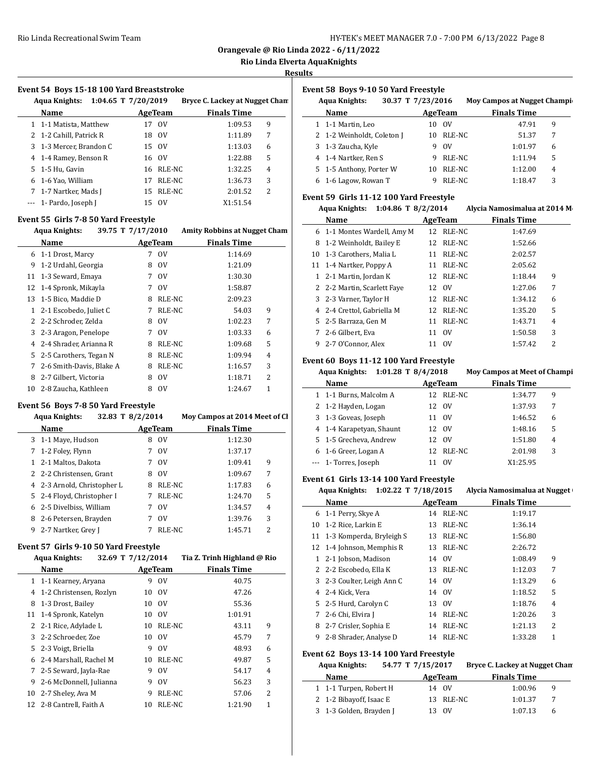**Orangevale @ Rio Linda 2022 - 6/11/2022**

# **Rio Linda Elverta AquaKnights**

**Results**

#### **Event 54 Boys 15-18 100 Yard Breaststroke**

|   | 1:04.65 T $7/20/2019$<br>Aqua Knights: |     |                | Bryce C. Lackey at Nugget Chan |   |
|---|----------------------------------------|-----|----------------|--------------------------------|---|
|   | Name                                   |     | AgeTeam        | <b>Finals Time</b>             |   |
|   | 1 1-1 Matista, Matthew                 |     | 17 OV          | 1:09.53                        | 9 |
|   | 2 1-2 Cahill, Patrick R                | 18  | $_{\text{OV}}$ | 1:11.89                        | 7 |
|   | 3 1-3 Mercer, Brandon C                |     | 15 OV          | 1:13.03                        | 6 |
|   | 4 1-4 Ramey, Benson R                  |     | 16 OV          | 1:22.88                        | 5 |
|   | 5 1-5 Hu, Gavin                        |     | 16 RLE-NC      | 1:32.25                        | 4 |
| 6 | 1-6 Yao, William                       | 17  | RLE-NC         | 1:36.73                        | 3 |
| 7 | 1-7 Nartker, Mads J                    |     | 15 RLE-NC      | 2:01.52                        | 2 |
|   | --- 1- Pardo, Joseph J                 | 15. | $_{\rm OV}$    | X1:51.54                       |   |

#### **Event 55 Girls 7-8 50 Yard Freestyle**

|              | 39.75 T 7/17/2010<br><b>Aqua Knights:</b> |   |             | <b>Amity Robbins at Nugget Cham</b> |   |
|--------------|-------------------------------------------|---|-------------|-------------------------------------|---|
|              | Name                                      |   | AgeTeam     | <b>Finals Time</b>                  |   |
| 6            | 1-1 Drost, Marcy                          | 7 | 0V          | 1:14.69                             |   |
| 9            | 1-2 Urdahl, Georgia                       | 8 | 0V          | 1:21.09                             |   |
| 11           | 1-3 Seward, Emaya                         | 7 | 0V          | 1:30.30                             |   |
|              | 12 1-4 Spronk, Mikayla                    | 7 | 0V          | 1:58.87                             |   |
| 13           | 1-5 Bico, Maddie D                        | 8 | RLE-NC      | 2:09.23                             |   |
| $\mathbf{1}$ | 2-1 Escobedo, Juliet C                    | 7 | RLE-NC      | 54.03                               | 9 |
|              | 2 2-2 Schroder, Zelda                     | 8 | 0V          | 1:02.23                             | 7 |
| 3            | 2-3 Aragon, Penelope                      | 7 | 0V          | 1:03.33                             | 6 |
| 4            | 2-4 Shrader, Arianna R                    | 8 | RLE-NC      | 1:09.68                             | 5 |
| 5.           | 2-5 Carothers, Tegan N                    | 8 | RLE-NC      | 1:09.94                             | 4 |
| 7            | 2-6 Smith-Davis, Blake A                  | 8 | RLE-NC      | 1:16.57                             | 3 |
| 8            | 2-7 Gilbert, Victoria                     | 8 | $_{\rm OV}$ | 1:18.71                             | 2 |
| 10           | 2-8 Zaucha, Kathleen                      | 8 | 0V          | 1:24.67                             | 1 |

#### **Event 56 Boys 7-8 50 Yard Freestyle**

|   | Aqua Knights:               | 32.83 T 8/2/2014 |             | Moy Campos at 2014 Meet of Cl |   |
|---|-----------------------------|------------------|-------------|-------------------------------|---|
|   | <b>Name</b>                 |                  | AgeTeam     | <b>Finals Time</b>            |   |
|   | 3 1-1 Maye, Hudson          | 8                | $_{\rm OV}$ | 1:12.30                       |   |
|   | 7 1-2 Foley, Flynn          | 7                | OV          | 1:37.17                       |   |
|   | 1 2-1 Maltos, Dakota        | 7                | $_{\rm OV}$ | 1:09.41                       | 9 |
|   | 2 2-2 Christensen, Grant    | 8                | $_{\rm OV}$ | 1:09.67                       | 7 |
|   | 4 2-3 Arnold, Christopher L | 8                | RLE-NC      | 1:17.83                       | 6 |
|   | 5 2-4 Floyd, Christopher I  | 7                | RLE-NC      | 1:24.70                       | 5 |
|   | 6 2-5 Divelbiss, William    | 7                | $_{\rm OV}$ | 1:34.57                       | 4 |
| 8 | 2-6 Petersen, Brayden       | 7                | $_{\rm OV}$ | 1:39.76                       | 3 |
| 9 | 2-7 Nartker, Grey J         | 7                | RLE-NC      | 1:45.71                       | 2 |
|   |                             |                  |             |                               |   |

# **Event 57 Girls 9-10 50 Yard Freestyle**

| <b>Aqua Knights:</b>    |                                                                                      |               | Tia Z. Trinh Highland @ Rio        |                                      |
|-------------------------|--------------------------------------------------------------------------------------|---------------|------------------------------------|--------------------------------------|
| Name                    |                                                                                      |               | <b>Finals Time</b>                 |                                      |
|                         | 9                                                                                    | <sub>OV</sub> | 40.75                              |                                      |
| 1-2 Christensen, Rozlyn | 10                                                                                   | 0V            | 47.26                              |                                      |
| 1-3 Drost, Bailey       | 10                                                                                   | 0V            | 55.36                              |                                      |
| 1-4 Spronk, Katelyn     | 10                                                                                   | 0V            | 1:01.91                            |                                      |
| 2-1 Rice, Adylade L     | 10                                                                                   |               | 9<br>43.11                         |                                      |
|                         |                                                                                      | 0V            | 7<br>45.79                         |                                      |
| 2-3 Voigt, Briella      | 9                                                                                    | 0V            | 48.93<br>6                         |                                      |
| 2-4 Marshall, Rachel M  | 10                                                                                   |               | 5<br>49.87                         |                                      |
| 2-5 Seward, Jayla-Rae   | 9                                                                                    | $_{\rm OV}$   | 54.17<br>4                         |                                      |
| 2-6 McDonnell, Julianna | 9                                                                                    | 0V            | 3<br>56.23                         |                                      |
| 2-7 Sheley, Ava M       | 9                                                                                    |               | 2<br>57.06                         |                                      |
|                         | 10                                                                                   |               | 1<br>1:21.90                       |                                      |
|                         | 1 1-1 Kearney, Aryana<br>3 2-2 Schroeder, Zoe<br>5.<br>7<br>12 2-8 Cantrell, Faith A |               | 32.69 T 7/12/2014<br>AgeTeam<br>10 | RLE-NC<br>RLE-NC<br>RLE-NC<br>RLE-NC |

#### **Event 58 Boys 9-10 50 Yard Freestyle**

|   | 30.37 T 7/23/2016<br><b>Aqua Knights:</b> |    |             | <b>Moy Campos at Nugget Champig</b> |  |
|---|-------------------------------------------|----|-------------|-------------------------------------|--|
|   | Name                                      |    | AgeTeam     | <b>Finals Time</b>                  |  |
|   | 1 1-1 Martin, Leo                         | 10 | 0V          | 47.91<br>9                          |  |
|   | 2 1-2 Weinholdt, Coleton J                | 10 | RLE-NC      | 51.37<br>7                          |  |
|   | 3 1-3 Zaucha, Kyle                        | 9  | $_{\rm OV}$ | 1:01.97<br>6                        |  |
|   | 4 1-4 Nartker, Ren S                      | 9  | RLE-NC      | 1:11.94<br>5                        |  |
|   | 5 1-5 Anthony, Porter W                   | 10 | RLE-NC      | 1:12.00<br>4                        |  |
| 6 | 1-6 Lagow, Rowan T                        |    | RLE-NC      | 3<br>1:18.47                        |  |

# **Event 59 Girls 11-12 100 Yard Freestyle**

| Aqua Knights: 1:04.86 T 8/2/2014 | Alycia Namosimalua at 2014 M |
|----------------------------------|------------------------------|
|----------------------------------|------------------------------|

|   | Name                        |    | AgeTeam        | <b>Finals Time</b> |   |  |
|---|-----------------------------|----|----------------|--------------------|---|--|
|   | 6 1-1 Montes Wardell, Amy M | 12 | RLE-NC         | 1:47.69            |   |  |
|   | 8 1-2 Weinholdt, Bailey E   |    | 12 RLE-NC      | 1:52.66            |   |  |
|   | 10 1-3 Carothers, Malia L   | 11 | RLE-NC         | 2:02.57            |   |  |
|   | 11 1-4 Nartker, Poppy A     | 11 | RLE-NC         | 2:05.62            |   |  |
|   | 1 2-1 Martin, Jordan K      |    | 12 RLE-NC      | 1:18.44            | 9 |  |
|   | 2 2-2 Martin, Scarlett Faye |    | 12 OV          | 1:27.06            | 7 |  |
|   | 3 2-3 Varner, Taylor H      |    | 12 RLE-NC      | 1:34.12            | 6 |  |
|   | 4 2-4 Crettol. Gabriella M  |    | 12 RLE-NC      | 1:35.20            | 5 |  |
|   | 5 2-5 Barraza, Gen M        | 11 | RLE-NC         | 1:43.71            | 4 |  |
| 7 | 2-6 Gilbert, Eva            | 11 | $_{\text{OV}}$ | 1:50.58            | 3 |  |
|   | 9 2-7 O'Connor, Alex        |    | 11 OV          | 1:57.42            | 2 |  |

#### **Event 60 Boys 11-12 100 Yard Freestyle**

|   | Aqua Knights:            | 1:01.28 T $8/4/2018$ |             | <b>Moy Campos at Meet of Champi</b> |                |
|---|--------------------------|----------------------|-------------|-------------------------------------|----------------|
|   | Name                     |                      | AgeTeam     | <b>Finals Time</b>                  |                |
|   | 1 1-1 Burns, Malcolm A   |                      | 12 RLE-NC   | 1:34.77                             | 9              |
|   | 2 1-2 Hayden, Logan      |                      | 12 OV       | 1:37.93                             | 7              |
| 3 | 1-3 Goveas, Joseph       | 11                   | $_{\rm OV}$ | 1:46.52                             | 6              |
|   | 4 1-4 Karapetyan, Shaunt |                      | 12 OV       | 1:48.16                             | 5              |
|   | 5 1-5 Grecheva, Andrew   |                      | 12 OV       | 1:51.80                             | $\overline{4}$ |
| 6 | 1-6 Greer, Logan A       |                      | 12 RLE-NC   | 2:01.98                             | 3              |
|   | --- 1- Torres, Joseph    |                      | ΩV          | X1:25.95                            |                |

#### **Event 61 Girls 13-14 100 Yard Freestyle**

**Agua Knights: 1:02.22 T**  $7/18/2015$  **Alycia Namosimalua at Nugget** 

|    | Name                       |    | AgeTeam   | <b>Finals Time</b> |   |
|----|----------------------------|----|-----------|--------------------|---|
|    | 6 1-1 Perry, Skye A        | 14 | RLE-NC    | 1:19.17            |   |
|    | 10 1-2 Rice, Larkin E      | 13 | RLE-NC    | 1:36.14            |   |
| 11 | 1-3 Komperda, Bryleigh S   |    | 13 RLE-NC | 1:56.80            |   |
|    | 12 1-4 Johnson, Memphis R  |    | 13 RLE-NC | 2:26.72            |   |
| 1  | 2-1 Jobson, Madison        |    | 14 OV     | 1:08.49            | 9 |
|    | 2 2-2 Escobedo, Ella K     |    | 13 RLE-NC | 1:12.03            | 7 |
|    | 3 2-3 Coulter, Leigh Ann C |    | 14 OV     | 1:13.29            | 6 |
|    | 4 2-4 Kick, Vera           |    | 14 OV     | 1:18.52            | 5 |
|    | 5 2-5 Hurd, Carolyn C      |    | 13 OV     | 1:18.76            | 4 |
| 7  | 2-6 Chi, Elvira J          | 14 | RLE-NC    | 1:20.26            | 3 |
|    | 8 2-7 Crisler, Sophia E    |    | 14 RLE-NC | 1:21.13            | 2 |
| 9  | 2-8 Shrader, Analyse D     | 14 | RLE-NC    | 1:33.28            | 1 |
|    |                            |    |           |                    |   |

#### **Event 62 Boys 13-14 100 Yard Freestyle**

| <b>Aqua Knights:</b>    | 54.77 T 7/15/2017 |           | Bryce C. Lackey at Nugget Chan |   |
|-------------------------|-------------------|-----------|--------------------------------|---|
| Name                    |                   | AgeTeam   | <b>Finals Time</b>             |   |
| 1 1-1 Turpen, Robert H  |                   | 14 OV     | 1:00.96                        | q |
| 2 1-2 Bibayoff, Isaac E |                   | 13 RLE-NC | 1:01.37                        |   |
| 3 1-3 Golden, Brayden J |                   | 13 OV     | 1:07.13                        | h |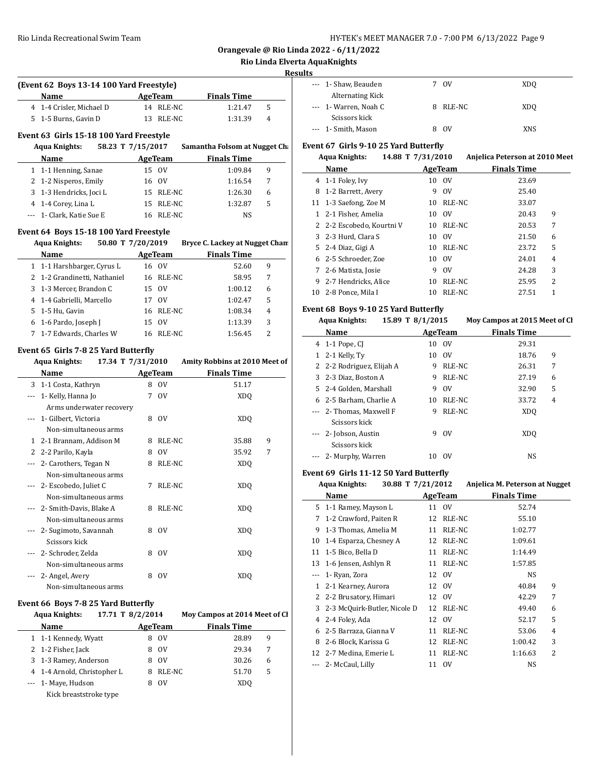**Orangevale @ Rio Linda 2022 - 6/11/2022**

# **Rio Linda Elverta AquaKnights**

# **Results**

| AgeTeam<br><b>Finals Time</b><br>14 RLE-NC<br>1:21.47<br>5<br>13 RLE-NC<br>4<br>1:31.39<br>Event 63 Girls 15-18 100 Yard Freestyle<br><b>Aqua Knights:</b><br>58.23 T 7/15/2017<br>Samantha Folsom at Nugget Ch<br><b>Finals Time</b><br>AgeTeam<br>1 1-1 Henning, Sanae<br>15 OV<br>1:09.84<br>9<br>2 1-2 Nisperos, Emily<br>16 OV<br>1:16.54<br>7<br>3 1-3 Hendricks, Joci L<br>15 RLE-NC<br>1:26.30<br>6<br>4 1-4 Corey, Lina L<br>15 RLE-NC<br>5<br>1:32.87<br>--- 1- Clark, Katie Sue E<br>16 RLE-NC<br>NS<br>Event 64 Boys 15-18 100 Yard Freestyle<br>50.80 T 7/20/2019<br>Bryce C. Lackey at Nugget Chan<br><b>Example 2.5 AgeTeam</b><br><b>Finals Time</b><br>16 OV<br>52.60<br>9<br>16 RLE-NC<br>58.95<br>7<br>15 OV<br>1:00.12<br>6<br>17 OV<br>5<br>1:02.47<br>16 RLE-NC<br>$\overline{4}$<br>1:08.34<br>15 OV<br>3<br>1:13.39<br>16 RLE-NC<br>2<br>1:56.45<br>Event 65 Girls 7-8 25 Yard Butterfly<br>17.34 T 7/31/2010<br>Amity Robbins at 2010 Meet of<br><b>AgeTeam</b><br><b>Finals Time</b><br>8 OV<br>51.17<br>7 OV<br>XDQ<br>8 OV<br>XDQ<br>8 RLE-NC<br>35.88<br>9 |       | (Event 62 Boys 13-14 100 Yard Freestyle) |  |  |
|-----------------------------------------------------------------------------------------------------------------------------------------------------------------------------------------------------------------------------------------------------------------------------------------------------------------------------------------------------------------------------------------------------------------------------------------------------------------------------------------------------------------------------------------------------------------------------------------------------------------------------------------------------------------------------------------------------------------------------------------------------------------------------------------------------------------------------------------------------------------------------------------------------------------------------------------------------------------------------------------------------------------------------------------------------------------------------------------|-------|------------------------------------------|--|--|
|                                                                                                                                                                                                                                                                                                                                                                                                                                                                                                                                                                                                                                                                                                                                                                                                                                                                                                                                                                                                                                                                                         |       | Name                                     |  |  |
|                                                                                                                                                                                                                                                                                                                                                                                                                                                                                                                                                                                                                                                                                                                                                                                                                                                                                                                                                                                                                                                                                         |       | 4 1-4 Crisler. Michael D                 |  |  |
|                                                                                                                                                                                                                                                                                                                                                                                                                                                                                                                                                                                                                                                                                                                                                                                                                                                                                                                                                                                                                                                                                         |       | 5 1-5 Burns, Gavin D                     |  |  |
|                                                                                                                                                                                                                                                                                                                                                                                                                                                                                                                                                                                                                                                                                                                                                                                                                                                                                                                                                                                                                                                                                         |       |                                          |  |  |
|                                                                                                                                                                                                                                                                                                                                                                                                                                                                                                                                                                                                                                                                                                                                                                                                                                                                                                                                                                                                                                                                                         |       |                                          |  |  |
|                                                                                                                                                                                                                                                                                                                                                                                                                                                                                                                                                                                                                                                                                                                                                                                                                                                                                                                                                                                                                                                                                         |       |                                          |  |  |
|                                                                                                                                                                                                                                                                                                                                                                                                                                                                                                                                                                                                                                                                                                                                                                                                                                                                                                                                                                                                                                                                                         |       | Name                                     |  |  |
|                                                                                                                                                                                                                                                                                                                                                                                                                                                                                                                                                                                                                                                                                                                                                                                                                                                                                                                                                                                                                                                                                         |       |                                          |  |  |
|                                                                                                                                                                                                                                                                                                                                                                                                                                                                                                                                                                                                                                                                                                                                                                                                                                                                                                                                                                                                                                                                                         |       |                                          |  |  |
|                                                                                                                                                                                                                                                                                                                                                                                                                                                                                                                                                                                                                                                                                                                                                                                                                                                                                                                                                                                                                                                                                         |       |                                          |  |  |
|                                                                                                                                                                                                                                                                                                                                                                                                                                                                                                                                                                                                                                                                                                                                                                                                                                                                                                                                                                                                                                                                                         |       |                                          |  |  |
|                                                                                                                                                                                                                                                                                                                                                                                                                                                                                                                                                                                                                                                                                                                                                                                                                                                                                                                                                                                                                                                                                         |       |                                          |  |  |
|                                                                                                                                                                                                                                                                                                                                                                                                                                                                                                                                                                                                                                                                                                                                                                                                                                                                                                                                                                                                                                                                                         |       |                                          |  |  |
|                                                                                                                                                                                                                                                                                                                                                                                                                                                                                                                                                                                                                                                                                                                                                                                                                                                                                                                                                                                                                                                                                         |       | <b>Aqua Knights:</b>                     |  |  |
|                                                                                                                                                                                                                                                                                                                                                                                                                                                                                                                                                                                                                                                                                                                                                                                                                                                                                                                                                                                                                                                                                         |       | <b>Name</b>                              |  |  |
|                                                                                                                                                                                                                                                                                                                                                                                                                                                                                                                                                                                                                                                                                                                                                                                                                                                                                                                                                                                                                                                                                         |       | 1 1-1 Harshbarger, Cyrus L               |  |  |
|                                                                                                                                                                                                                                                                                                                                                                                                                                                                                                                                                                                                                                                                                                                                                                                                                                                                                                                                                                                                                                                                                         |       | 2 1-2 Grandinetti, Nathaniel             |  |  |
|                                                                                                                                                                                                                                                                                                                                                                                                                                                                                                                                                                                                                                                                                                                                                                                                                                                                                                                                                                                                                                                                                         |       | 3 1-3 Mercer, Brandon C                  |  |  |
|                                                                                                                                                                                                                                                                                                                                                                                                                                                                                                                                                                                                                                                                                                                                                                                                                                                                                                                                                                                                                                                                                         |       | 4 1-4 Gabrielli, Marcello                |  |  |
|                                                                                                                                                                                                                                                                                                                                                                                                                                                                                                                                                                                                                                                                                                                                                                                                                                                                                                                                                                                                                                                                                         |       | 5 1-5 Hu, Gavin                          |  |  |
|                                                                                                                                                                                                                                                                                                                                                                                                                                                                                                                                                                                                                                                                                                                                                                                                                                                                                                                                                                                                                                                                                         |       | 6 1-6 Pardo, Joseph J                    |  |  |
|                                                                                                                                                                                                                                                                                                                                                                                                                                                                                                                                                                                                                                                                                                                                                                                                                                                                                                                                                                                                                                                                                         |       |                                          |  |  |
|                                                                                                                                                                                                                                                                                                                                                                                                                                                                                                                                                                                                                                                                                                                                                                                                                                                                                                                                                                                                                                                                                         | 7     | 1-7 Edwards, Charles W                   |  |  |
|                                                                                                                                                                                                                                                                                                                                                                                                                                                                                                                                                                                                                                                                                                                                                                                                                                                                                                                                                                                                                                                                                         |       |                                          |  |  |
|                                                                                                                                                                                                                                                                                                                                                                                                                                                                                                                                                                                                                                                                                                                                                                                                                                                                                                                                                                                                                                                                                         |       | <b>Aqua Knights:</b>                     |  |  |
|                                                                                                                                                                                                                                                                                                                                                                                                                                                                                                                                                                                                                                                                                                                                                                                                                                                                                                                                                                                                                                                                                         |       | <b>Name</b>                              |  |  |
|                                                                                                                                                                                                                                                                                                                                                                                                                                                                                                                                                                                                                                                                                                                                                                                                                                                                                                                                                                                                                                                                                         |       | 3 1-1 Costa, Kathryn                     |  |  |
|                                                                                                                                                                                                                                                                                                                                                                                                                                                                                                                                                                                                                                                                                                                                                                                                                                                                                                                                                                                                                                                                                         |       | --- 1- Kelly, Hanna Jo                   |  |  |
|                                                                                                                                                                                                                                                                                                                                                                                                                                                                                                                                                                                                                                                                                                                                                                                                                                                                                                                                                                                                                                                                                         |       | Arms underwater recovery                 |  |  |
|                                                                                                                                                                                                                                                                                                                                                                                                                                                                                                                                                                                                                                                                                                                                                                                                                                                                                                                                                                                                                                                                                         | $---$ | 1- Gilbert, Victoria                     |  |  |
|                                                                                                                                                                                                                                                                                                                                                                                                                                                                                                                                                                                                                                                                                                                                                                                                                                                                                                                                                                                                                                                                                         |       | Non-simultaneous arms                    |  |  |
| 35.92<br>8<br><sub>OV</sub><br>7                                                                                                                                                                                                                                                                                                                                                                                                                                                                                                                                                                                                                                                                                                                                                                                                                                                                                                                                                                                                                                                        |       | 1 2-1 Brannam, Addison M                 |  |  |
|                                                                                                                                                                                                                                                                                                                                                                                                                                                                                                                                                                                                                                                                                                                                                                                                                                                                                                                                                                                                                                                                                         |       | 2 2-2 Parilo, Kayla                      |  |  |
| 8 RLE-NC<br>XDQ                                                                                                                                                                                                                                                                                                                                                                                                                                                                                                                                                                                                                                                                                                                                                                                                                                                                                                                                                                                                                                                                         |       | --- 2- Carothers, Tegan N                |  |  |
|                                                                                                                                                                                                                                                                                                                                                                                                                                                                                                                                                                                                                                                                                                                                                                                                                                                                                                                                                                                                                                                                                         |       | Non-simultaneous arms                    |  |  |
| 7<br>RLE-NC<br>XDQ                                                                                                                                                                                                                                                                                                                                                                                                                                                                                                                                                                                                                                                                                                                                                                                                                                                                                                                                                                                                                                                                      |       | --- 2- Escobedo, Juliet C                |  |  |
|                                                                                                                                                                                                                                                                                                                                                                                                                                                                                                                                                                                                                                                                                                                                                                                                                                                                                                                                                                                                                                                                                         |       | Non-simultaneous arms                    |  |  |
| 8<br>RLE-NC<br>XDQ                                                                                                                                                                                                                                                                                                                                                                                                                                                                                                                                                                                                                                                                                                                                                                                                                                                                                                                                                                                                                                                                      |       | 2- Smith-Davis, Blake A                  |  |  |
|                                                                                                                                                                                                                                                                                                                                                                                                                                                                                                                                                                                                                                                                                                                                                                                                                                                                                                                                                                                                                                                                                         |       | Non-simultaneous arms                    |  |  |
| 0V<br>XDQ<br>8                                                                                                                                                                                                                                                                                                                                                                                                                                                                                                                                                                                                                                                                                                                                                                                                                                                                                                                                                                                                                                                                          |       | 2- Sugimoto, Savannah                    |  |  |
|                                                                                                                                                                                                                                                                                                                                                                                                                                                                                                                                                                                                                                                                                                                                                                                                                                                                                                                                                                                                                                                                                         |       | Scissors kick                            |  |  |
| 8<br>0V<br>XDQ                                                                                                                                                                                                                                                                                                                                                                                                                                                                                                                                                                                                                                                                                                                                                                                                                                                                                                                                                                                                                                                                          |       | 2- Schroder, Zelda                       |  |  |
|                                                                                                                                                                                                                                                                                                                                                                                                                                                                                                                                                                                                                                                                                                                                                                                                                                                                                                                                                                                                                                                                                         |       | Non-simultaneous arms                    |  |  |
| 8<br>0V<br>XDQ                                                                                                                                                                                                                                                                                                                                                                                                                                                                                                                                                                                                                                                                                                                                                                                                                                                                                                                                                                                                                                                                          |       | --- 2- Angel, Avery                      |  |  |
|                                                                                                                                                                                                                                                                                                                                                                                                                                                                                                                                                                                                                                                                                                                                                                                                                                                                                                                                                                                                                                                                                         |       |                                          |  |  |
|                                                                                                                                                                                                                                                                                                                                                                                                                                                                                                                                                                                                                                                                                                                                                                                                                                                                                                                                                                                                                                                                                         |       |                                          |  |  |
|                                                                                                                                                                                                                                                                                                                                                                                                                                                                                                                                                                                                                                                                                                                                                                                                                                                                                                                                                                                                                                                                                         |       |                                          |  |  |
|                                                                                                                                                                                                                                                                                                                                                                                                                                                                                                                                                                                                                                                                                                                                                                                                                                                                                                                                                                                                                                                                                         |       |                                          |  |  |
|                                                                                                                                                                                                                                                                                                                                                                                                                                                                                                                                                                                                                                                                                                                                                                                                                                                                                                                                                                                                                                                                                         |       |                                          |  |  |
|                                                                                                                                                                                                                                                                                                                                                                                                                                                                                                                                                                                                                                                                                                                                                                                                                                                                                                                                                                                                                                                                                         |       |                                          |  |  |
|                                                                                                                                                                                                                                                                                                                                                                                                                                                                                                                                                                                                                                                                                                                                                                                                                                                                                                                                                                                                                                                                                         |       |                                          |  |  |
|                                                                                                                                                                                                                                                                                                                                                                                                                                                                                                                                                                                                                                                                                                                                                                                                                                                                                                                                                                                                                                                                                         |       |                                          |  |  |
|                                                                                                                                                                                                                                                                                                                                                                                                                                                                                                                                                                                                                                                                                                                                                                                                                                                                                                                                                                                                                                                                                         |       |                                          |  |  |
|                                                                                                                                                                                                                                                                                                                                                                                                                                                                                                                                                                                                                                                                                                                                                                                                                                                                                                                                                                                                                                                                                         |       |                                          |  |  |
|                                                                                                                                                                                                                                                                                                                                                                                                                                                                                                                                                                                                                                                                                                                                                                                                                                                                                                                                                                                                                                                                                         |       |                                          |  |  |
|                                                                                                                                                                                                                                                                                                                                                                                                                                                                                                                                                                                                                                                                                                                                                                                                                                                                                                                                                                                                                                                                                         |       |                                          |  |  |
|                                                                                                                                                                                                                                                                                                                                                                                                                                                                                                                                                                                                                                                                                                                                                                                                                                                                                                                                                                                                                                                                                         |       | Non-simultaneous arms                    |  |  |

#### **Event 66 Boys 7-8 25 Yard Butterfly**

| <b>Aqua Knights:</b> |                             | 17.71 T 8/2/2014 | Moy Campos at 2014 Meet of Cl |   |  |
|----------------------|-----------------------------|------------------|-------------------------------|---|--|
|                      | Name                        | <b>AgeTeam</b>   | <b>Finals Time</b>            |   |  |
|                      | 1 1-1 Kennedy, Wyatt        | 0V<br>8          | 28.89                         | 9 |  |
|                      | 2 1-2 Fisher, Jack          | 0V<br>8          | 29.34                         | 7 |  |
|                      | 3 1-3 Ramey, Anderson       | 0V<br>8          | 30.26                         | 6 |  |
|                      | 4 1-4 Arnold, Christopher L | RLE-NC<br>8      | 51.70                         | 5 |  |
|                      | --- 1- Maye, Hudson         | 0V<br>8          | XDO                           |   |  |
|                      | Kick breaststroke type      |                  |                               |   |  |

| ιs |                       |             |            |
|----|-----------------------|-------------|------------|
|    | --- 1- Shaw, Beauden  | 7 OV        | XDO        |
|    | Alternating Kick      |             |            |
|    | --- 1- Warren, Noah C | 8 RLE-NC    | <b>XDQ</b> |
|    | Scissors kick         |             |            |
|    | --- 1- Smith, Mason   | $_{\rm OV}$ | XNS        |

# **Event 67 Girls 9-10 25 Yard Butterfly**

# **Aqua Knights: 14.88 T 7/31/2010 Anjelica Peterson at 2010 Meet**

|    | Name                      |    | AgeTeam     | <b>Finals Time</b> |   |
|----|---------------------------|----|-------------|--------------------|---|
|    | 4 1-1 Foley, Ivy          | 10 | 0V          | 23.69              |   |
| 8  | 1-2 Barrett, Avery        | 9  | $_{\rm OV}$ | 25.40              |   |
| 11 | 1-3 Saefong, Zoe M        | 10 | RLE-NC      | 33.07              |   |
|    | 2-1 Fisher, Amelia        | 10 | $_{\rm OV}$ | 20.43              | 9 |
|    | 2 2-2 Escobedo, Kourtni V | 10 | RLE-NC      | 20.53              | 7 |
|    | 3 2-3 Hurd, Clara S       | 10 | $_{\rm OV}$ | 21.50              | 6 |
|    | 5 2-4 Diaz, Gigi A        | 10 | RLE-NC      | 23.72              | 5 |
|    | 6 2-5 Schroeder. Zoe      | 10 | - OV        | 24.01              | 4 |
| 7  | 2-6 Matista, Josie        | 9  | $_{\rm OV}$ | 24.28              | 3 |
| 9  | 2-7 Hendricks, Alice      | 10 | RLE-NC      | 25.95              | 2 |
| 10 | 2-8 Ponce. Mila I         | 10 | RLE-NC      | 27.51              |   |

#### **Event 68 Boys 9-10 25 Yard Butterfly**

|          | <b>Aqua Knights:</b>      | 15.89 T 8/1/2015 |             | Mov Campos at 2015 Meet of Cl |  |
|----------|---------------------------|------------------|-------------|-------------------------------|--|
|          | Name                      |                  | AgeTeam     | <b>Finals Time</b>            |  |
|          | 4 1-1 Pope, CI            |                  | 10 OV       | 29.31                         |  |
| 1        | 2-1 Kelly, Ty             | 10               | - OV        | 9<br>18.76                    |  |
|          | 2 2-2 Rodriguez, Elijah A | 9                | RLE-NC      | 7<br>26.31                    |  |
|          | 3 2-3 Diaz, Boston A      | 9                | RLE-NC      | 27.19<br>6                    |  |
|          | 5 2-4 Golden, Marshall    | 9                | $_{\rm OV}$ | 5<br>32.90                    |  |
|          | 6 2-5 Barham, Charlie A   | 10               | RLE-NC      | $\overline{4}$<br>33.72       |  |
|          | --- 2- Thomas, Maxwell F  | 9                | RLE-NC      | XD <sub>O</sub>               |  |
|          | Scissors kick             |                  |             |                               |  |
| $\cdots$ | 2- Jobson, Austin         | 9                | $_{\rm OV}$ | X <sub>D</sub> O              |  |
|          | Scissors kick             |                  |             |                               |  |
| $\cdots$ | 2- Murphy, Warren         |                  | 10 OV       | <b>NS</b>                     |  |

#### **Event 69 Girls 11-12 50 Yard Butterfly**

|    | <b>Aqua Knights:</b>         | 30.88 T 7/21/2012 |         | Anjelica M. Peterson at Nugget |  |  |
|----|------------------------------|-------------------|---------|--------------------------------|--|--|
|    | Name                         |                   | AgeTeam | <b>Finals Time</b>             |  |  |
| 5. | 1-1 Ramey, Mayson L          |                   | 11 OV   | 52.74                          |  |  |
| 7  | 1-2 Crawford, Paiten R       | 12                | RLE-NC  | 55.10                          |  |  |
| 9  | 1-3 Thomas, Amelia M         | 11                | RLE-NC  | 1:02.77                        |  |  |
| 10 | 1-4 Esparza, Chesney A       | 12                | RLE-NC  | 1:09.61                        |  |  |
| 11 | 1-5 Bico, Bella D            | 11                | RLE-NC  | 1:14.49                        |  |  |
| 13 | 1-6 Jensen, Ashlyn R         | 11                | RLE-NC  | 1:57.85                        |  |  |
|    | 1- Ryan, Zora                |                   | 12 OV   | NS                             |  |  |
| 1  | 2-1 Kearney, Aurora          | 12                | 0V      | 40.84<br>9                     |  |  |
| 2  | 2-2 Brusatory, Himari        | 12                | 0V      | 7<br>42.29                     |  |  |
| 3  | 2-3 McQuirk-Butler, Nicole D | 12                | RLE-NC  | 49.40<br>6                     |  |  |
| 4  | 2-4 Foley, Ada               | 12                | 0V      | 5<br>52.17                     |  |  |
| 6  | 2-5 Barraza, Gianna V        | 11                | RLE-NC  | 53.06<br>4                     |  |  |
| 8  | 2-6 Block, Karissa G         | 12                | RLE-NC  | 3<br>1:00.42                   |  |  |
| 12 | 2-7 Medina, Emerie L         | 11                | RLE-NC  | 2<br>1:16.63                   |  |  |
|    | 2- McCaul, Lilly             | 11                | 0V      | NS                             |  |  |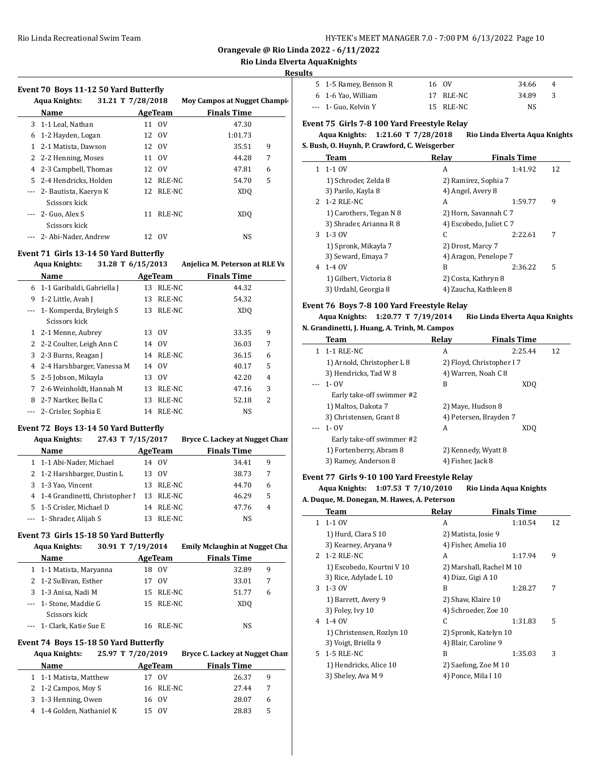**Orangevale @ Rio Linda 2022 - 6/11/2022**

### **Rio Linda Elverta AquaKnights**

#### **Results**

 $\overline{a}$ 

|   | <b>Aqua Knights:</b>      | 31.21 T 7/28/2018 |                | <b>Moy Campos at Nugget Champi</b> |   |
|---|---------------------------|-------------------|----------------|------------------------------------|---|
|   | Name                      |                   | <b>AgeTeam</b> | <b>Finals Time</b>                 |   |
|   | 3 1-1 Leal, Nathan        |                   | 11 OV          | 47.30                              |   |
| 6 | 1-2 Hayden, Logan         |                   | 12 OV          | 1:01.73                            |   |
|   | 1 2-1 Matista, Dawson     |                   | 12 OV          | 35.51                              | 9 |
|   | 2 2-2 Henning, Moses      |                   | 11 OV          | 44.28                              | 7 |
|   | 4 2-3 Campbell, Thomas    |                   | 12 OV          | 47.81                              | 6 |
|   | 5 2-4 Hendricks, Holden   |                   | 12 RLE-NC      | 54.70                              | 5 |
|   | --- 2- Bautista, Kaeryn K |                   | 12 RLE-NC      | XD <sub>0</sub>                    |   |
|   | Scissors kick             |                   |                |                                    |   |
|   | $-2$ - Guo, Alex S        | 11                | RLE-NC         | XD <sub>0</sub>                    |   |
|   | Scissors kick             |                   |                |                                    |   |
|   | --- 2- Abi-Nader, Andrew  |                   | 12 OV          | NS                                 |   |

# **Event 71 Girls 13-14 50 Yard Butterfly**

|          | <b>Aqua Knights:</b><br>31.28 T 6/15/2013 |    |             | Anjelica M. Peterson at RLE Vs    |  |
|----------|-------------------------------------------|----|-------------|-----------------------------------|--|
|          | <b>Name</b>                               |    | AgeTeam     | <b>Finals Time</b>                |  |
|          | 6 1-1 Garibaldi, Gabriella J              | 13 | RLE-NC      | 44.32                             |  |
| 9        | 1-2 Little, Avah J                        | 13 | RLE-NC      | 54.32                             |  |
| $\cdots$ | 1- Komperda, Bryleigh S                   | 13 | RLE-NC      | XD <sub>O</sub>                   |  |
|          | Scissors kick                             |    |             |                                   |  |
| 1        | 2-1 Menne, Aubrey                         | 13 | 0V          | 9<br>33.35                        |  |
|          | 2 2-2 Coulter, Leigh Ann C                | 14 | 0V          | 7<br>36.03                        |  |
|          | 3 2-3 Burns, Reagan J                     |    | 14 RLE-NC   | 6<br>36.15                        |  |
|          | 4 2-4 Harshbarger, Vanessa M              |    | 14 OV       | 5<br>40.17                        |  |
| 5.       | 2-5 Jobson, Mikayla                       | 13 | $_{\rm OV}$ | 42.20<br>4                        |  |
| 7        | 2-6 Weinholdt, Hannah M                   | 13 | RLE-NC      | 3<br>47.16                        |  |
| 8        | 2-7 Nartker, Bella C                      | 13 | RLE-NC      | $\overline{\mathcal{L}}$<br>52.18 |  |
|          | 2- Crisler, Sophia E                      | 14 | RLE-NC      | <b>NS</b>                         |  |

#### **Event 72 Boys 13-14 50 Yard Butterfly**

| 27.43 T 7/15/2017<br><b>Aqua Knights:</b> |         |        | Bryce C. Lackey at Nugget Chan |   |
|-------------------------------------------|---------|--------|--------------------------------|---|
| Name                                      | AgeTeam |        | <b>Finals Time</b>             |   |
| 1 1-1 Abi-Nader, Michael                  | 14      | - OV   | 34.41                          | 9 |
| 2 1-2 Harshbarger, Dustin L               | 13      | 0V     | 38.73                          |   |
| 3 1-3 Yao, Vincent                        | 13.     | RLE-NC | 44.70                          | 6 |
| 4 1-4 Grandinetti, Christopher I          | 13      | RLE-NC | 46.29                          | 5 |
| 5 1-5 Crisler, Michael D                  | 14      | RLE-NC | 47.76                          | 4 |
| --- 1- Shrader, Alijah S                  | 13      | RLE-NC | NS                             |   |

# **Event 73 Girls 15-18 50 Yard Butterfly**

| <i></i> and 15 to 50 mm battern, |                   |         |                                      |   |  |  |  |
|----------------------------------|-------------------|---------|--------------------------------------|---|--|--|--|
| <b>Aqua Knights:</b>             | 30.91 T 7/19/2014 |         | <b>Emily Mclaughin at Nugget Cha</b> |   |  |  |  |
| Name                             |                   | AgeTeam | <b>Finals Time</b>                   |   |  |  |  |
| 1 1-1 Matista, Maryanna          | 18                | - OV    | 32.89                                | 9 |  |  |  |
| 2 1-2 Sullivan, Esther           | 17                | 0V      | 33.01                                | 7 |  |  |  |
| 3 1-3 Anisa, Nadi M              | 15                | RLE-NC  | 51.77                                | 6 |  |  |  |
| --- 1- Stone, Maddie G           | 15                | RLE-NC  | XD <sub>0</sub>                      |   |  |  |  |
| Scissors kick                    |                   |         |                                      |   |  |  |  |
| 1- Clark, Katie Sue E            | 16                | RLE-NC  | NS                                   |   |  |  |  |
|                                  |                   |         |                                      |   |  |  |  |

# **Event 74 Boys 15-18 50 Yard Butterfly**

| <b>Aqua Knights:</b>      | 25.97 T 7/20/2019 | Bryce C. Lackey at Nugget Chan |
|---------------------------|-------------------|--------------------------------|
| <b>Name</b>               | AgeTeam           | <b>Finals Time</b>             |
| 1 1-1 Matista, Matthew    | 17 OV             | 26.37<br>9                     |
| 2 1-2 Campos, Moy S       | 16 RLE-NC         | 27.44                          |
| 3 1-3 Henning, Owen       | 16 OV             | 28.07<br>6                     |
| 4 1-4 Golden, Nathaniel K | 15 OV             | 28.83<br>5                     |
|                           |                   |                                |

| 5 1-5 Ramey, Benson R | 16 OV     | 34.66 | -4 |
|-----------------------|-----------|-------|----|
| 6 1-6 Yao, William    | 17 RLE-NC | 34.89 |    |
| $-$ 1 Guo, Kelvin Y   | 15 RLE-NC | NS.   |    |

# **Event 75 Girls 7-8 100 Yard Freestyle Relay**

**Aqua Knights: 1:21.60 T 7/28/2018 Rio Linda Elverta Aqua Knights S. Bush, O. Huynh, P. Crawford, C. Weisgerber**

|    | Team                    | Relay                   | <b>Finals Time</b> |    |
|----|-------------------------|-------------------------|--------------------|----|
| 1. | $1 - 1$ OV              | A                       | 1:41.92            | 12 |
|    | 1) Schroder, Zelda 8    | 2) Ramirez, Sophia 7    |                    |    |
|    | 3) Parilo, Kayla 8      | 4) Angel, Avery 8       |                    |    |
|    | 2 1-2 RLE-NC            | A                       | 1:59.77            | 9  |
|    | 1) Carothers, Tegan N 8 | 2) Horn, Savannah C 7   |                    |    |
|    | 3) Shrader, Arianna R 8 | 4) Escobedo, Juliet C 7 |                    |    |
| 3  | 1-3 OV                  | C                       | 2:22.61            | 7  |
|    | 1) Spronk, Mikayla 7    | 2) Drost, Marcy 7       |                    |    |
|    | 3) Seward, Emaya 7      | 4) Aragon, Penelope 7   |                    |    |
| 4  | $1-40V$                 | B                       | 2:36.22            | 5  |
|    | 1) Gilbert, Victoria 8  | 2) Costa, Kathryn 8     |                    |    |
|    | 3) Urdahl, Georgia 8    | 4) Zaucha, Kathleen 8   |                    |    |

# **Event 76 Boys 7-8 100 Yard Freestyle Relay**

# **Aqua Knights: 1:20.77 T 7/19/2014 Rio Linda Elverta Aqua Knights N. Grandinetti, J. Huang, A. Trinh, M. Campos**

| Team                       | Relay             | <b>Finals Time</b>        |    |
|----------------------------|-------------------|---------------------------|----|
| 1-1 RLE-NC                 | A                 | 2:25.44                   | 12 |
| 1) Arnold, Christopher L 8 |                   | 2) Floyd, Christopher I 7 |    |
| 3) Hendricks, Tad W 8      |                   | 4) Warren, Noah C 8       |    |
| $- - 1 - 0V$               | B                 | XDO                       |    |
| Early take-off swimmer #2  |                   |                           |    |
| 1) Maltos, Dakota 7        |                   | 2) Maye, Hudson 8         |    |
| 3) Christensen, Grant 8    |                   | 4) Petersen, Brayden 7    |    |
| 1- OV<br>$---$             | A                 | XD <sub>0</sub>           |    |
| Early take-off swimmer #2  |                   |                           |    |
| 1) Fortenberry, Abram 8    |                   | 2) Kennedy, Wyatt 8       |    |
| 3) Ramey, Anderson 8       | 4) Fisher, Jack 8 |                           |    |

# **Event 77 Girls 9-10 100 Yard Freestyle Relay**

#### **Aqua Knights: 1:07.53 T 7/10/2010 Rio Linda Aqua Knights A. Duque, M. Donegan, M. Hawes, A. Peterson**

|               | Team                      | Relay                 | <b>Finals Time</b>       |    |
|---------------|---------------------------|-----------------------|--------------------------|----|
| 1             | $1-1$ OV                  | A                     | 1:10.54                  | 12 |
|               | 1) Hurd, Clara S 10       | 2) Matista, Josie 9   |                          |    |
|               | 3) Kearney, Aryana 9      | 4) Fisher, Amelia 10  |                          |    |
| $\mathcal{P}$ | $1-2$ RLE-NC              | A                     | 1:17.94                  | 9  |
|               | 1) Escobedo, Kourtni V 10 |                       | 2) Marshall, Rachel M 10 |    |
|               | 3) Rice, Adylade L 10     | 4) Diaz, Gigi A 10    |                          |    |
| 3             | 1-3 OV                    | B                     | 1:28.27                  | 7  |
|               | 1) Barrett, Avery 9       | 2) Shaw, Klaire 10    |                          |    |
|               | 3) Foley, Ivy 10          | 4) Schroeder, Zoe 10  |                          |    |
| 4             | 1-4 OV                    | C.                    | 1:31.83                  | 5  |
|               | 1) Christensen, Rozlyn 10 | 2) Spronk, Katelyn 10 |                          |    |
|               | 3) Voigt, Briella 9       | 4) Blair, Caroline 9  |                          |    |
| 5.            | 1-5 RLE-NC                | B                     | 1:35.03                  | 3  |
|               | 1) Hendricks, Alice 10    | 2) Saefong, Zoe M 10  |                          |    |
|               | 3) Sheley, Ava M 9        | 4) Ponce, Mila I 10   |                          |    |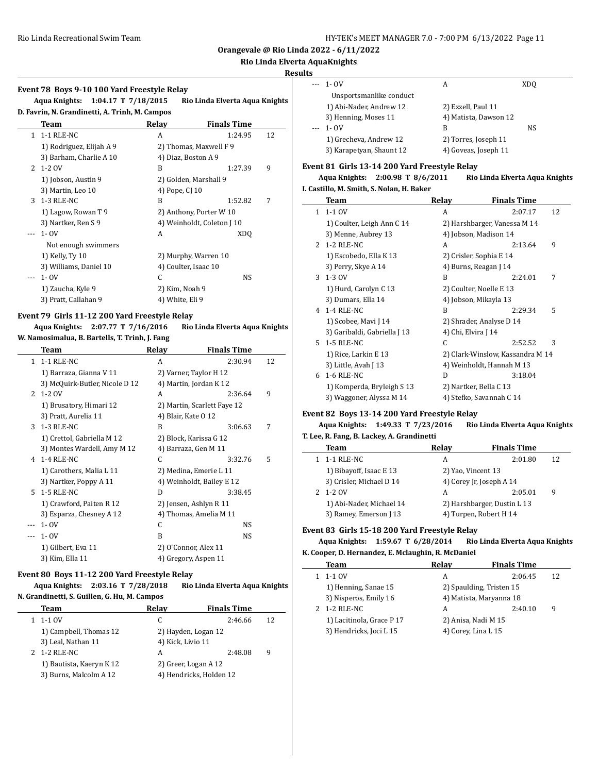**Orangevale @ Rio Linda 2022 - 6/11/2022**

# **Rio Linda Elverta AquaKnights**

# **Results**

 $\overline{a}$ 

 $\overline{a}$ 

 $\overline{a}$ 

|                      | $- - 1 - 0V$             | А                     | XD <sub>0</sub> |
|----------------------|--------------------------|-----------------------|-----------------|
|                      | Unsportsmanlike conduct  |                       |                 |
|                      | 1) Abi-Nader, Andrew 12  | 2) Ezzell, Paul 11    |                 |
|                      | 3) Henning, Moses 11     | 4) Matista, Dawson 12 |                 |
| $\sim$ $\sim$ $\sim$ | 1- OV                    | B                     | NS              |
|                      | 1) Grecheva, Andrew 12   | 2) Torres, Joseph 11  |                 |
|                      | 3) Karapetyan, Shaunt 12 | 4) Goveas, Joseph 11  |                 |

#### **Event 81 Girls 13-14 200 Yard Freestyle Relay**

**Aqua Knights: 2:00.98 T 8/6/2011 Rio Linda Elverta Aqua Knights I. Castillo, M. Smith, S. Nolan, H. Baker**

|              | Team                         | Relay                   | <b>Finals Time</b>               |    |
|--------------|------------------------------|-------------------------|----------------------------------|----|
| $\mathbf{1}$ | $1-1$ OV                     | A                       | 2:07.17                          | 12 |
|              | 1) Coulter, Leigh Ann C 14   |                         | 2) Harshbarger, Vanessa M 14     |    |
|              | 3) Menne, Aubrey 13          | 4) Jobson, Madison 14   |                                  |    |
| $2^{\circ}$  | 1-2 RLE-NC                   | A                       | 2:13.64                          | 9  |
|              | 1) Escobedo, Ella K 13       | 2) Crisler, Sophia E 14 |                                  |    |
|              | 3) Perry, Skye A 14          | 4) Burns, Reagan J 14   |                                  |    |
| 3            | 1-3 OV                       | B                       | 2:24.01                          | 7  |
|              | 1) Hurd, Carolyn C 13        | 2) Coulter, Noelle E 13 |                                  |    |
|              | 3) Dumars, Ella 14           | 4) Jobson, Mikayla 13   |                                  |    |
| 4            | 1-4 RLE-NC                   | B                       | 2:29.34                          | 5  |
|              | 1) Scobee, Mavi J 14         |                         | 2) Shrader, Analyse D 14         |    |
|              | 3) Garibaldi, Gabriella J 13 | 4) Chi, Elvira J 14     |                                  |    |
| 5.           | 1-5 RLE-NC                   | C                       | 2:52.52                          | 3  |
|              | 1) Rice, Larkin E 13         |                         | 2) Clark-Winslow, Kassandra M 14 |    |
|              | 3) Little, Avah J 13         |                         | 4) Weinholdt, Hannah M 13        |    |
| 6            | 1-6 RLE-NC                   | D                       | 3:18.04                          |    |
|              | 1) Komperda, Bryleigh S 13   | 2) Nartker, Bella C 13  |                                  |    |
|              | 3) Waggoner, Alyssa M 14     |                         | 4) Stefko, Savannah C 14         |    |

# **Event 82 Boys 13-14 200 Yard Freestyle Relay**

**Aqua Knights: 1:49.33 T 7/23/2016 Rio Linda Elverta Aqua Knights T. Lee, R. Fang, B. Lackey, A. Grandinetti**

| Team                     | Relav | <b>Finals Time</b>          |    |
|--------------------------|-------|-----------------------------|----|
| 1-1 RLE-NC               | А     | 2:01.80                     | 12 |
| 1) Bibayoff, Isaac E 13  |       | 2) Yao, Vincent 13          |    |
| 3) Crisler, Michael D 14 |       | 4) Corey Jr, Joseph A 14    |    |
| $1 - 2$ OV               | А     | 2:05.01                     | 9  |
| 1) Abi-Nader, Michael 14 |       | 2) Harshbarger, Dustin L 13 |    |
| 3) Ramey, Emerson J 13   |       | 4) Turpen, Robert H 14      |    |

# **Event 83 Girls 15-18 200 Yard Freestyle Relay**

# **Aqua Knights: 1:59.67 T 6/28/2014 Rio Linda Elverta Aqua Knights**

# **K. Cooper, D. Hernandez, E. Mclaughin, R. McDaniel**

| Team                      | Relay               | <b>Finals Time</b>       |    |
|---------------------------|---------------------|--------------------------|----|
| 1-1 OV                    | А                   | 2:06.45                  | 12 |
| 1) Henning, Sanae 15      |                     | 2) Spaulding, Tristen 15 |    |
| 3) Nisperos, Emily 16     |                     | 4) Matista, Maryanna 18  |    |
| 2 1-2 RLE-NC              | А                   | 2:40.10                  | 9  |
| 1) Lacitinola, Grace P 17 | 2) Anisa, Nadi M 15 |                          |    |
| 3) Hendricks, Joci L 15   | 4) Corey, Lina L 15 |                          |    |
|                           |                     |                          |    |

|               | Event 78 Boys 9-10 100 Yard Freestyle Relay<br>Aqua Knights: 1:04.17 T 7/18/2015<br>Rio Linda Elverta Aqua Knights |                      |                            |    |  |  |
|---------------|--------------------------------------------------------------------------------------------------------------------|----------------------|----------------------------|----|--|--|
|               | D. Favrin, N. Grandinetti, A. Trinh, M. Campos<br>Team                                                             | Relay                | <b>Finals Time</b>         |    |  |  |
| $\mathbf{1}$  | 1-1 RLE-NC                                                                                                         | A                    | 1:24.95                    | 12 |  |  |
|               | 1) Rodriguez, Elijah A 9                                                                                           |                      | 2) Thomas, Maxwell F 9     |    |  |  |
|               | 3) Barham, Charlie A 10                                                                                            | 4) Diaz, Boston A 9  |                            |    |  |  |
| $\mathcal{L}$ | 1-2 OV                                                                                                             | B                    | 1:27.39                    | 9  |  |  |
|               | 1) Jobson, Austin 9                                                                                                |                      | 2) Golden, Marshall 9      |    |  |  |
|               | 3) Martin, Leo 10                                                                                                  | 4) Pope, CJ 10       |                            |    |  |  |
| 3             | 1-3 RLE-NC                                                                                                         | R                    | 1:52.82                    | 7  |  |  |
|               | 1) Lagow, Rowan T 9                                                                                                |                      | 2) Anthony, Porter W 10    |    |  |  |
|               | 3) Nartker, Ren S 9                                                                                                |                      | 4) Weinholdt, Coleton J 10 |    |  |  |
|               | $1 - OV$                                                                                                           | A                    | XDO                        |    |  |  |
|               | Not enough swimmers                                                                                                |                      |                            |    |  |  |
|               | 1) Kelly, Ty 10                                                                                                    |                      | 2) Murphy, Warren 10       |    |  |  |
|               | 3) Williams, Daniel 10                                                                                             | 4) Coulter, Isaac 10 |                            |    |  |  |
|               | $1 - OV$                                                                                                           | C                    | NS                         |    |  |  |
|               | 1) Zaucha, Kyle 9                                                                                                  | 2) Kim, Noah 9       |                            |    |  |  |
|               | 3) Pratt, Callahan 9                                                                                               | 4) White, Eli 9      |                            |    |  |  |

# **Event 79 Girls 11-12 200 Yard Freestyle Relay**

| Aqua Knights: | 2:07.77 T 7/16/2016                            | Rio Linda Elverta Aqua Knights |
|---------------|------------------------------------------------|--------------------------------|
|               | W. Namosimalua, B. Bartells, T. Trinh, J. Fang |                                |

|               | Team                           | Relay               | <b>Finals Time</b>          |    |
|---------------|--------------------------------|---------------------|-----------------------------|----|
| 1.            | 1-1 RLE-NC                     | A                   | 2:30.94                     | 12 |
|               | 1) Barraza, Gianna V 11        |                     | 2) Varner, Taylor H 12      |    |
|               | 3) McQuirk-Butler, Nicole D 12 |                     | 4) Martin, Jordan K 12      |    |
| $\mathcal{L}$ | 1-2 OV                         | A                   | 2:36.64                     | 9  |
|               | 1) Brusatory, Himari 12        |                     | 2) Martin, Scarlett Faye 12 |    |
|               | 3) Pratt, Aurelia 11           | 4) Blair, Kate 0 12 |                             |    |
| 3             | 1-3 RLE-NC                     | B                   | 3:06.63                     | 7  |
|               | 1) Crettol, Gabriella M 12     |                     | 2) Block, Karissa G 12      |    |
|               | 3) Montes Wardell, Amy M 12    |                     | 4) Barraza, Gen M 11        |    |
| 4             | $1-4$ RLE-NC                   | C                   | 3:32.76                     | 5  |
|               | 1) Carothers, Malia L 11       |                     | 2) Medina, Emerie L 11      |    |
|               | 3) Nartker, Poppy A 11         |                     | 4) Weinholdt, Bailey E 12   |    |
| 5.            | 1-5 RLE-NC                     | D                   | 3:38.45                     |    |
|               | 1) Crawford, Paiten R 12       |                     | 2) Jensen, Ashlyn R 11      |    |
|               | 3) Esparza, Chesney A 12       |                     | 4) Thomas, Amelia M 11      |    |
|               | $1 - OV$                       | C                   | NS.                         |    |
|               | $1 - OV$                       | B                   | NS.                         |    |
|               | 1) Gilbert, Eva 11             |                     | 2) O'Connor, Alex 11        |    |
|               | 3) Kim, Ella 11                |                     | 4) Gregory, Aspen 11        |    |

#### **Event 80 Boys 11-12 200 Yard Freestyle Relay**

# **Aqua Knights: 2:03.16 T 7/28/2018 Rio Linda Elverta Aqua Knights**

| N. Grandinetti, S. Guillen, G. Hu, M. Campos |  |  |
|----------------------------------------------|--|--|
|                                              |  |  |

| Team                     | Relay             | <b>Finals Time</b>      |    |
|--------------------------|-------------------|-------------------------|----|
| 1-1 OV                   | C                 | 2:46.66                 | 12 |
| 1) Campbell, Thomas 12   |                   | 2) Hayden, Logan 12     |    |
| 3) Leal, Nathan 11       | 4) Kick, Livio 11 |                         |    |
| 2 1-2 RLE-NC             | A                 | 2:48.08                 | 9  |
| 1) Bautista, Kaeryn K 12 |                   | 2) Greer, Logan A 12    |    |
| 3) Burns, Malcolm A 12   |                   | 4) Hendricks, Holden 12 |    |
|                          |                   |                         |    |